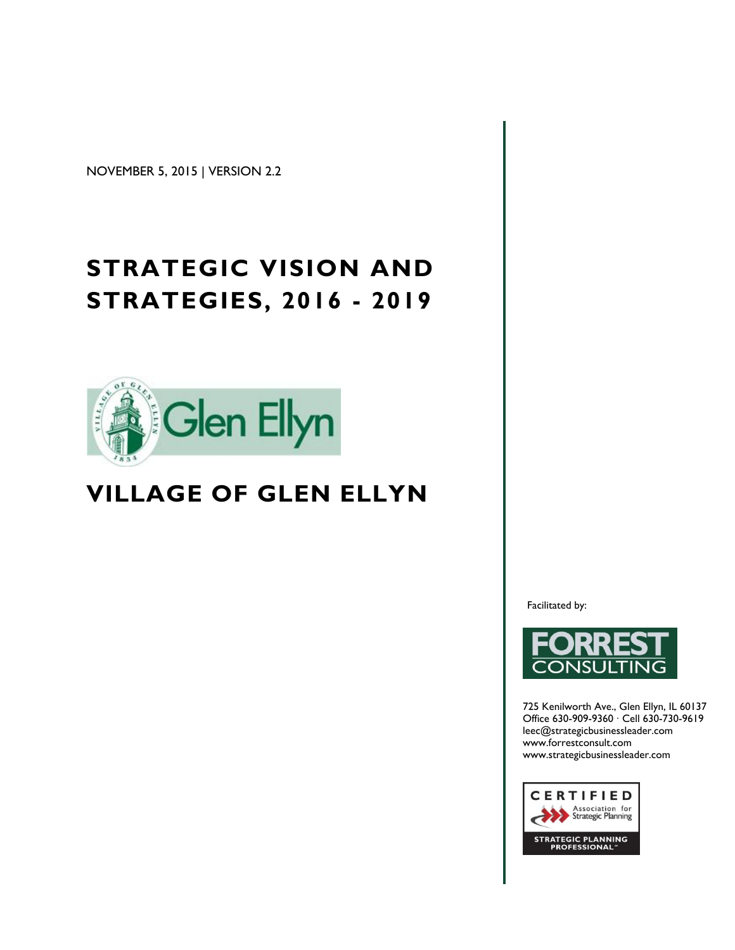NOVEMBER 5, 2015 | VERSION 2.2

# **STRATEGIC VISION AND STRATEGIES, 2016 - 2019**



# **VILLAGE OF GLEN ELLYN**

Facilitated by:



725 Kenilworth Ave., Glen Ellyn, IL 60137 Office 630-909-9360 ∙ Cell 630-730-9619 leec@strategicbusinessleader.com www.forrestconsult.com www.strategicbusinessleader.com

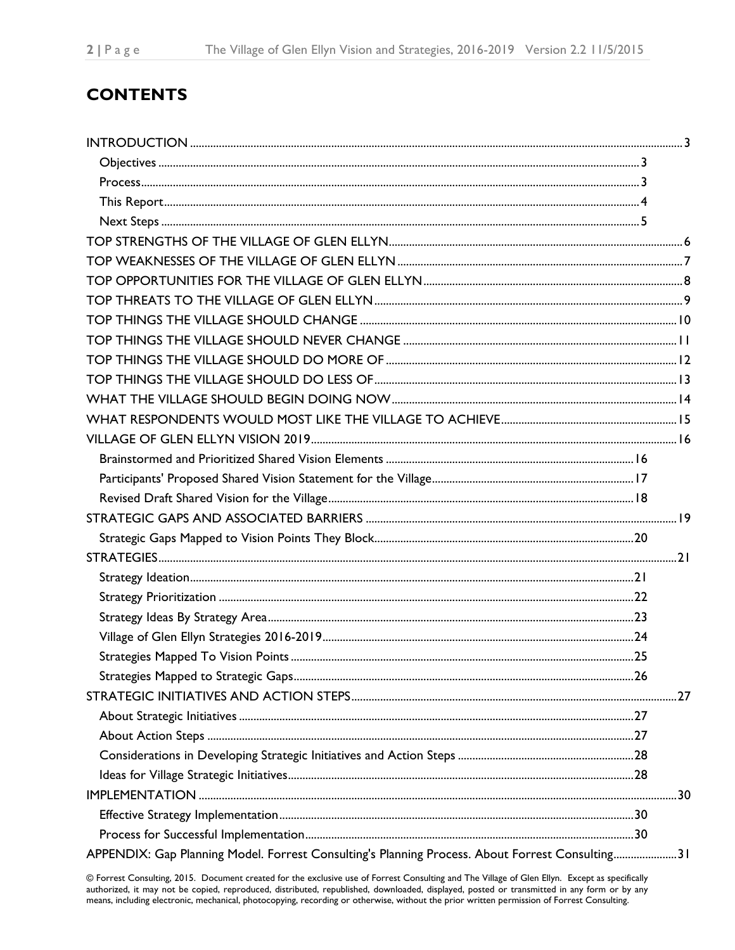# **CONTENTS**

| APPENDIX: Gap Planning Model. Forrest Consulting's Planning Process. About Forrest Consulting31 |  |
|-------------------------------------------------------------------------------------------------|--|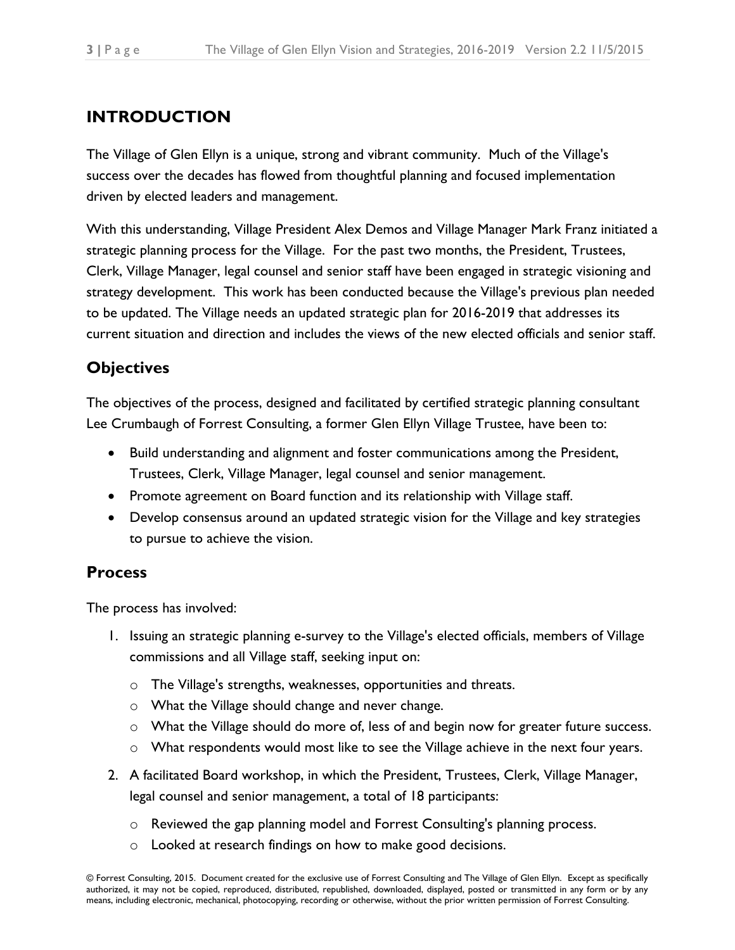### <span id="page-2-0"></span>**INTRODUCTION**

The Village of Glen Ellyn is a unique, strong and vibrant community. Much of the Village's success over the decades has flowed from thoughtful planning and focused implementation driven by elected leaders and management.

With this understanding, Village President Alex Demos and Village Manager Mark Franz initiated a strategic planning process for the Village. For the past two months, the President, Trustees, Clerk, Village Manager, legal counsel and senior staff have been engaged in strategic visioning and strategy development. This work has been conducted because the Village's previous plan needed to be updated. The Village needs an updated strategic plan for 2016-2019 that addresses its current situation and direction and includes the views of the new elected officials and senior staff.

### <span id="page-2-1"></span>**Objectives**

The objectives of the process, designed and facilitated by certified strategic planning consultant Lee Crumbaugh of Forrest Consulting, a former Glen Ellyn Village Trustee, have been to:

- Build understanding and alignment and foster communications among the President, Trustees, Clerk, Village Manager, legal counsel and senior management.
- Promote agreement on Board function and its relationship with Village staff.
- Develop consensus around an updated strategic vision for the Village and key strategies to pursue to achieve the vision.

#### <span id="page-2-2"></span>**Process**

The process has involved:

- 1. Issuing an strategic planning e-survey to the Village's elected officials, members of Village commissions and all Village staff, seeking input on:
	- o The Village's strengths, weaknesses, opportunities and threats.
	- o What the Village should change and never change.
	- o What the Village should do more of, less of and begin now for greater future success.
	- o What respondents would most like to see the Village achieve in the next four years.
- 2. A facilitated Board workshop, in which the President, Trustees, Clerk, Village Manager, legal counsel and senior management, a total of 18 participants:
	- o Reviewed the gap planning model and Forrest Consulting's planning process.
	- o Looked at research findings on how to make good decisions.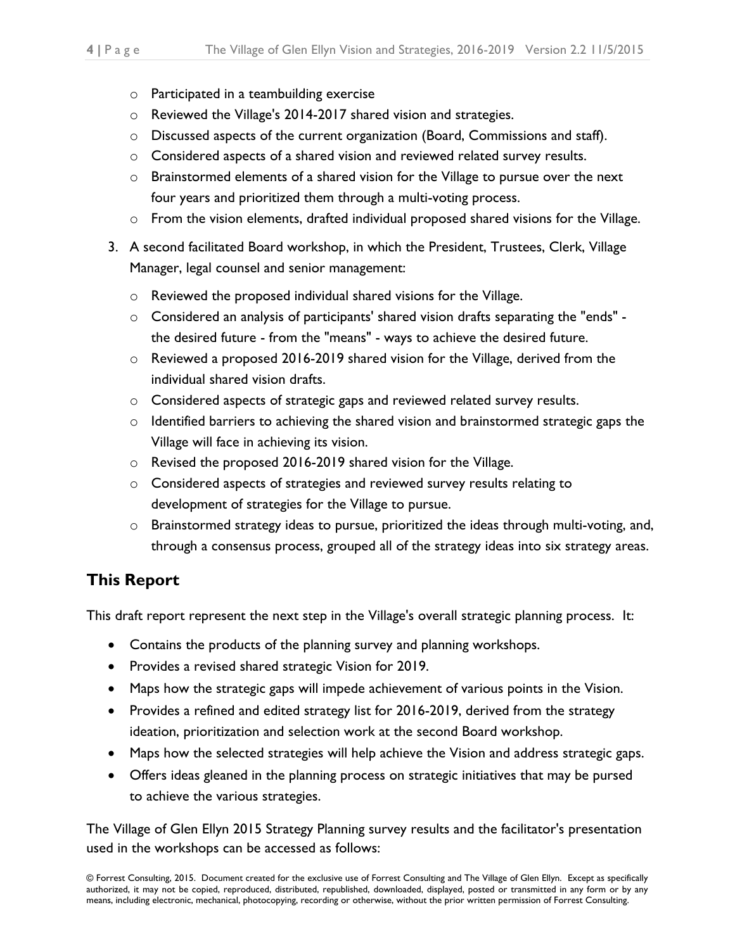- o Participated in a teambuilding exercise
- o Reviewed the Village's 2014-2017 shared vision and strategies.
- $\circ$  Discussed aspects of the current organization (Board, Commissions and staff).
- $\circ$  Considered aspects of a shared vision and reviewed related survey results.
- o Brainstormed elements of a shared vision for the Village to pursue over the next four years and prioritized them through a multi-voting process.
- $\circ$  From the vision elements, drafted individual proposed shared visions for the Village.
- 3. A second facilitated Board workshop, in which the President, Trustees, Clerk, Village Manager, legal counsel and senior management:
	- o Reviewed the proposed individual shared visions for the Village.
	- o Considered an analysis of participants' shared vision drafts separating the "ends" the desired future - from the "means" - ways to achieve the desired future.
	- o Reviewed a proposed 2016-2019 shared vision for the Village, derived from the individual shared vision drafts.
	- o Considered aspects of strategic gaps and reviewed related survey results.
	- o Identified barriers to achieving the shared vision and brainstormed strategic gaps the Village will face in achieving its vision.
	- o Revised the proposed 2016-2019 shared vision for the Village.
	- o Considered aspects of strategies and reviewed survey results relating to development of strategies for the Village to pursue.
	- o Brainstormed strategy ideas to pursue, prioritized the ideas through multi-voting, and, through a consensus process, grouped all of the strategy ideas into six strategy areas.

#### <span id="page-3-0"></span>**This Report**

This draft report represent the next step in the Village's overall strategic planning process. It:

- Contains the products of the planning survey and planning workshops.
- Provides a revised shared strategic Vision for 2019.
- Maps how the strategic gaps will impede achievement of various points in the Vision.
- Provides a refined and edited strategy list for 2016-2019, derived from the strategy ideation, prioritization and selection work at the second Board workshop.
- Maps how the selected strategies will help achieve the Vision and address strategic gaps.
- Offers ideas gleaned in the planning process on strategic initiatives that may be pursed to achieve the various strategies.

The Village of Glen Ellyn 2015 Strategy Planning survey results and the facilitator's presentation used in the workshops can be accessed as follows: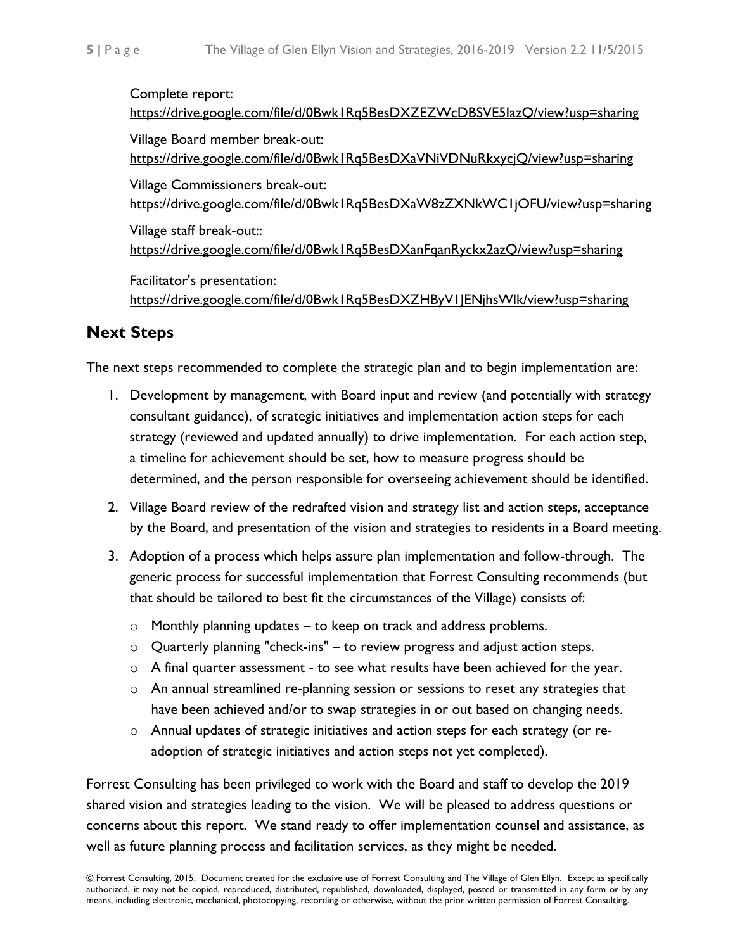Complete report: <https://drive.google.com/file/d/0Bwk1Rq5BesDXZEZWcDBSVE5IazQ/view?usp=sharing> Village Board member break-out: <https://drive.google.com/file/d/0Bwk1Rq5BesDXaVNiVDNuRkxycjQ/view?usp=sharing> Village Commissioners break-out: <https://drive.google.com/file/d/0Bwk1Rq5BesDXaW8zZXNkWC1jOFU/view?usp=sharing> Village staff break-out:: <https://drive.google.com/file/d/0Bwk1Rq5BesDXanFqanRyckx2azQ/view?usp=sharing> Facilitator's presentation: <https://drive.google.com/file/d/0Bwk1Rq5BesDXZHByV1JENjhsWlk/view?usp=sharing>

#### <span id="page-4-0"></span>**Next Steps**

The next steps recommended to complete the strategic plan and to begin implementation are:

- 1. Development by management, with Board input and review (and potentially with strategy consultant guidance), of strategic initiatives and implementation action steps for each strategy (reviewed and updated annually) to drive implementation. For each action step, a timeline for achievement should be set, how to measure progress should be determined, and the person responsible for overseeing achievement should be identified.
- 2. Village Board review of the redrafted vision and strategy list and action steps, acceptance by the Board, and presentation of the vision and strategies to residents in a Board meeting.
- 3. Adoption of a process which helps assure plan implementation and follow-through. The generic process for successful implementation that Forrest Consulting recommends (but that should be tailored to best fit the circumstances of the Village) consists of:
	- $\circ$  Monthly planning updates to keep on track and address problems.
	- $\circ$  Quarterly planning "check-ins" to review progress and adjust action steps.
	- $\circ$  A final quarter assessment to see what results have been achieved for the year.
	- $\circ$  An annual streamlined re-planning session or sessions to reset any strategies that have been achieved and/or to swap strategies in or out based on changing needs.
	- $\circ$  Annual updates of strategic initiatives and action steps for each strategy (or readoption of strategic initiatives and action steps not yet completed).

Forrest Consulting has been privileged to work with the Board and staff to develop the 2019 shared vision and strategies leading to the vision. We will be pleased to address questions or concerns about this report. We stand ready to offer implementation counsel and assistance, as well as future planning process and facilitation services, as they might be needed.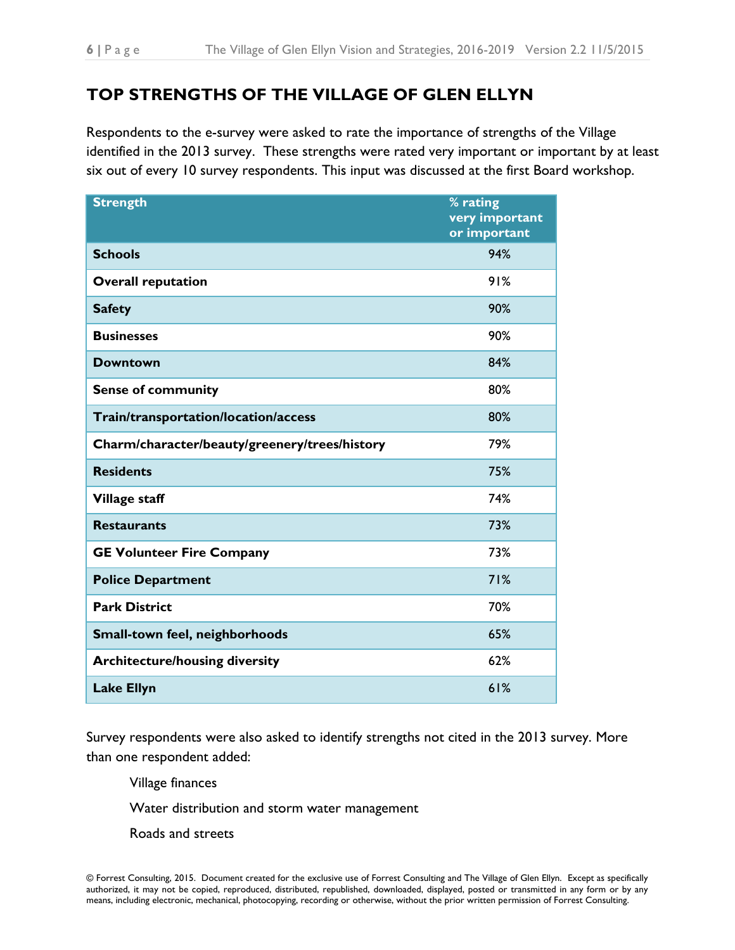# <span id="page-5-0"></span>**TOP STRENGTHS OF THE VILLAGE OF GLEN ELLYN**

Respondents to the e-survey were asked to rate the importance of strengths of the Village identified in the 2013 survey. These strengths were rated very important or important by at least six out of every 10 survey respondents. This input was discussed at the first Board workshop.

| <b>Strength</b>                               | % rating<br>very important<br>or important |
|-----------------------------------------------|--------------------------------------------|
| <b>Schools</b>                                | 94%                                        |
| <b>Overall reputation</b>                     | 91%                                        |
| <b>Safety</b>                                 | 90%                                        |
| <b>Businesses</b>                             | 90%                                        |
| <b>Downtown</b>                               | 84%                                        |
| <b>Sense of community</b>                     | 80%                                        |
| Train/transportation/location/access          | 80%                                        |
| Charm/character/beauty/greenery/trees/history | 79%                                        |
| <b>Residents</b>                              | 75%                                        |
| <b>Village staff</b>                          | 74%                                        |
| <b>Restaurants</b>                            | 73%                                        |
| <b>GE Volunteer Fire Company</b>              | 73%                                        |
| <b>Police Department</b>                      | 71%                                        |
| <b>Park District</b>                          | 70%                                        |
| Small-town feel, neighborhoods                | 65%                                        |
| <b>Architecture/housing diversity</b>         | 62%                                        |
| <b>Lake Ellyn</b>                             | 61%                                        |

Survey respondents were also asked to identify strengths not cited in the 2013 survey. More than one respondent added:

Village finances

Water distribution and storm water management

Roads and streets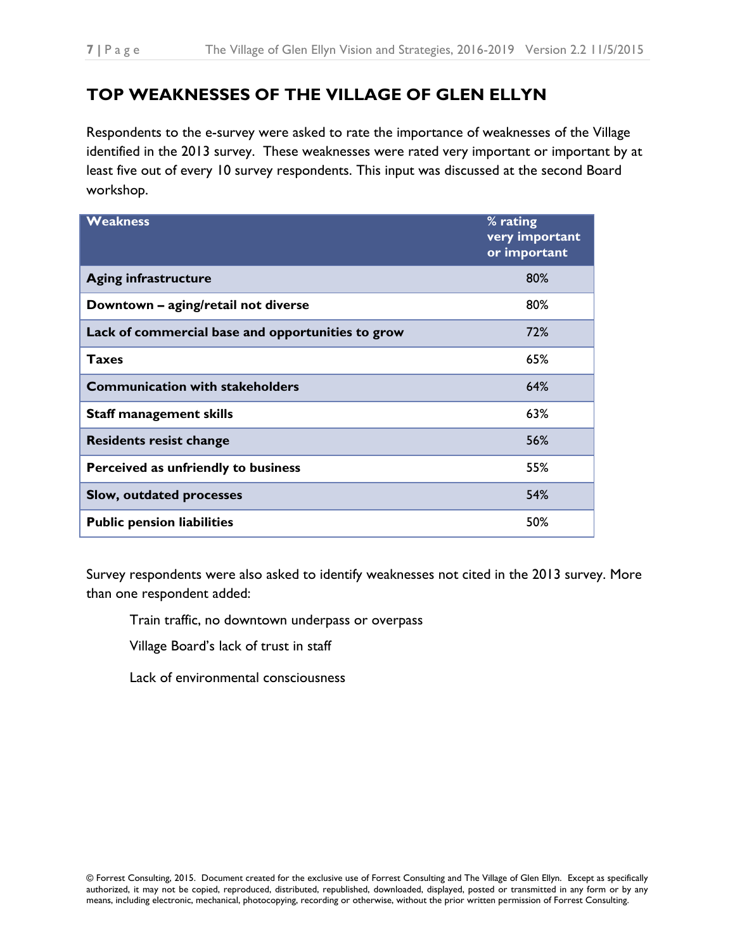# <span id="page-6-0"></span>**TOP WEAKNESSES OF THE VILLAGE OF GLEN ELLYN**

Respondents to the e-survey were asked to rate the importance of weaknesses of the Village identified in the 2013 survey. These weaknesses were rated very important or important by at least five out of every 10 survey respondents. This input was discussed at the second Board workshop.

| <b>Weakness</b>                                   | % rating<br>very important<br>or important |
|---------------------------------------------------|--------------------------------------------|
| <b>Aging infrastructure</b>                       | 80%                                        |
| Downtown – aging/retail not diverse               | 80%                                        |
| Lack of commercial base and opportunities to grow | 72%                                        |
| <b>Taxes</b>                                      | 65%                                        |
| <b>Communication with stakeholders</b>            | 64%                                        |
| <b>Staff management skills</b>                    | 63%                                        |
| <b>Residents resist change</b>                    | 56%                                        |
| Perceived as unfriendly to business               | 55%                                        |
| <b>Slow, outdated processes</b>                   | 54%                                        |
| <b>Public pension liabilities</b>                 | 50%                                        |

Survey respondents were also asked to identify weaknesses not cited in the 2013 survey. More than one respondent added:

Train traffic, no downtown underpass or overpass

Village Board's lack of trust in staff

Lack of environmental consciousness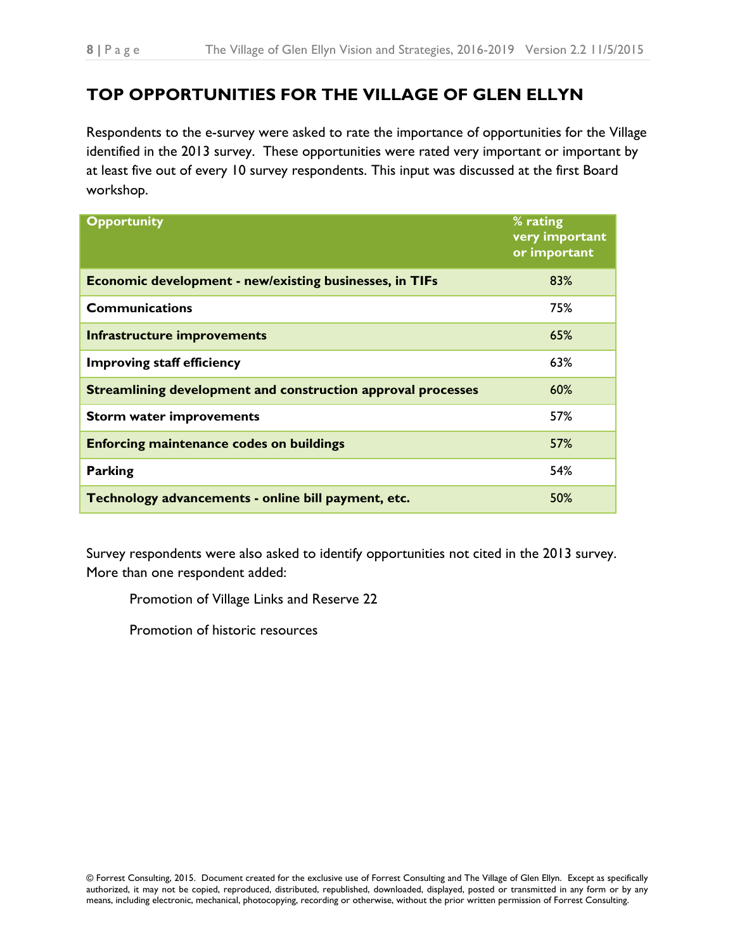# <span id="page-7-0"></span>**TOP OPPORTUNITIES FOR THE VILLAGE OF GLEN ELLYN**

Respondents to the e-survey were asked to rate the importance of opportunities for the Village identified in the 2013 survey. These opportunities were rated very important or important by at least five out of every 10 survey respondents. This input was discussed at the first Board workshop.

| <b>Opportunity</b>                                             | % rating<br>very important<br>or important |
|----------------------------------------------------------------|--------------------------------------------|
| <b>Economic development - new/existing businesses, in TIFs</b> | 83%                                        |
| <b>Communications</b>                                          | 75%                                        |
| Infrastructure improvements                                    | 65%                                        |
| <b>Improving staff efficiency</b>                              | 63%                                        |
| Streamlining development and construction approval processes   | 60%                                        |
| <b>Storm water improvements</b>                                | 57%                                        |
| <b>Enforcing maintenance codes on buildings</b>                | 57%                                        |
| <b>Parking</b>                                                 | 54%                                        |
| Technology advancements - online bill payment, etc.            | 50%                                        |

Survey respondents were also asked to identify opportunities not cited in the 2013 survey. More than one respondent added:

Promotion of Village Links and Reserve 22

Promotion of historic resources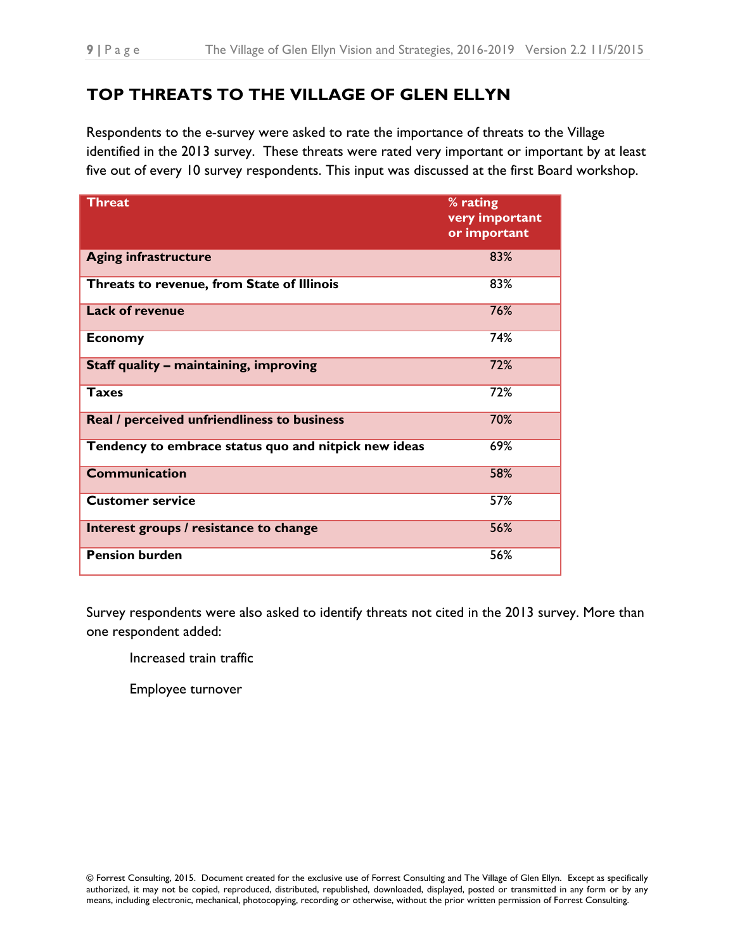# <span id="page-8-0"></span>**TOP THREATS TO THE VILLAGE OF GLEN ELLYN**

Respondents to the e-survey were asked to rate the importance of threats to the Village identified in the 2013 survey. These threats were rated very important or important by at least five out of every 10 survey respondents. This input was discussed at the first Board workshop.

| <b>Threat</b>                                        | % rating<br>very important<br>or important |
|------------------------------------------------------|--------------------------------------------|
| <b>Aging infrastructure</b>                          | 83%                                        |
| Threats to revenue, from State of Illinois           | 83%                                        |
| <b>Lack of revenue</b>                               | 76%                                        |
| <b>Economy</b>                                       | 74%                                        |
| Staff quality - maintaining, improving               | 72%                                        |
| <b>Taxes</b>                                         | 72%                                        |
| Real / perceived unfriendliness to business          | 70%                                        |
| Tendency to embrace status quo and nitpick new ideas | 69%                                        |
| <b>Communication</b>                                 | 58%                                        |
| <b>Customer service</b>                              | 57%                                        |
| Interest groups / resistance to change               | 56%                                        |
| <b>Pension burden</b>                                | 56%                                        |

Survey respondents were also asked to identify threats not cited in the 2013 survey. More than one respondent added:

Increased train traffic

Employee turnover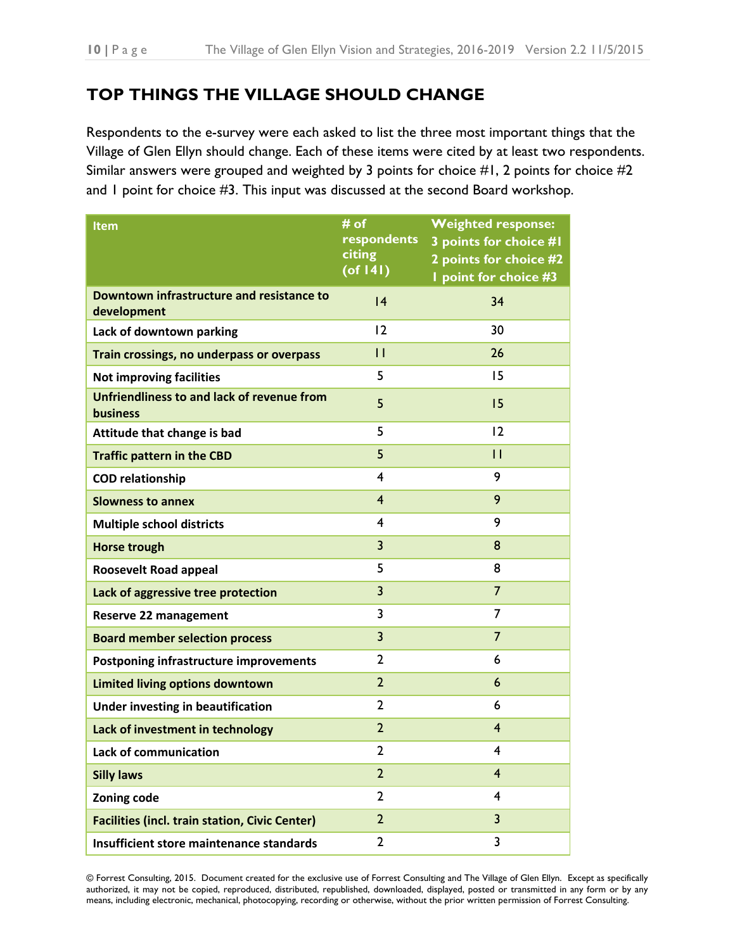# <span id="page-9-0"></span>**TOP THINGS THE VILLAGE SHOULD CHANGE**

Respondents to the e-survey were each asked to list the three most important things that the Village of Glen Ellyn should change. Each of these items were cited by at least two respondents. Similar answers were grouped and weighted by 3 points for choice  $\#1$ , 2 points for choice  $\#2$ and 1 point for choice #3. This input was discussed at the second Board workshop.

| <b>Item</b>                                            | # of                  | <b>Weighted response:</b> |
|--------------------------------------------------------|-----------------------|---------------------------|
|                                                        | respondents           | 3 points for choice #1    |
|                                                        | citing<br>$($ of 141) | 2 points for choice #2    |
| Downtown infrastructure and resistance to              |                       | I point for choice #3     |
| development                                            | 4                     | 34                        |
| Lack of downtown parking                               | 12                    | 30                        |
| Train crossings, no underpass or overpass              | $\mathbf{H}$          | 26                        |
| <b>Not improving facilities</b>                        | 5                     | 15                        |
| Unfriendliness to and lack of revenue from<br>business | 5                     | 15                        |
| Attitude that change is bad                            | 5                     | 12                        |
| <b>Traffic pattern in the CBD</b>                      | 5                     | $\mathbf{H}$              |
| <b>COD relationship</b>                                | 4                     | 9                         |
| <b>Slowness to annex</b>                               | $\overline{4}$        | 9                         |
| <b>Multiple school districts</b>                       | $\overline{4}$        | 9                         |
| <b>Horse trough</b>                                    | $\overline{3}$        | 8                         |
| <b>Roosevelt Road appeal</b>                           | 5                     | 8                         |
| Lack of aggressive tree protection                     | $\overline{3}$        | $\overline{7}$            |
| <b>Reserve 22 management</b>                           | 3                     | 7                         |
| <b>Board member selection process</b>                  | $\overline{3}$        | $\overline{7}$            |
| <b>Postponing infrastructure improvements</b>          | $\overline{2}$        | 6                         |
| <b>Limited living options downtown</b>                 | $\overline{2}$        | 6                         |
| Under investing in beautification                      | $\overline{2}$        | 6                         |
| Lack of investment in technology                       | $\overline{2}$        | $\overline{4}$            |
| Lack of communication                                  | $\overline{2}$        | 4                         |
| <b>Silly laws</b>                                      | $\overline{2}$        | $\overline{4}$            |
| Zoning code                                            | $\overline{2}$        | 4                         |
| <b>Facilities (incl. train station, Civic Center)</b>  | $\overline{2}$        | 3                         |
| Insufficient store maintenance standards               | $\overline{2}$        | 3                         |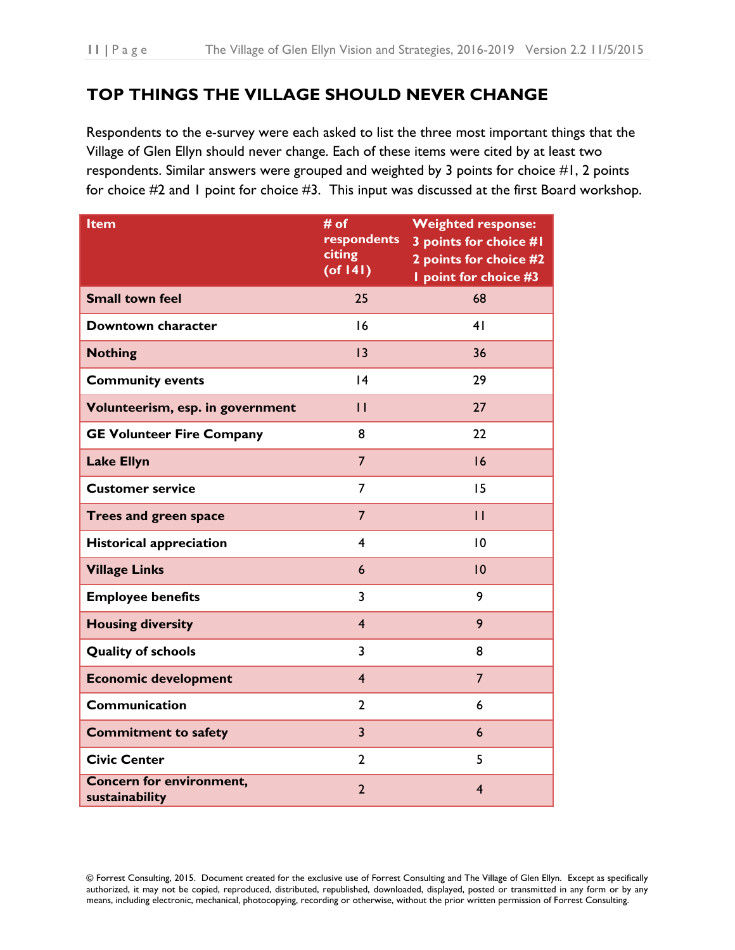#### <span id="page-10-0"></span>**TOP THINGS THE VILLAGE SHOULD NEVER CHANGE**

Respondents to the e-survey were each asked to list the three most important things that the Village of Glen Ellyn should never change. Each of these items were cited by at least two respondents. Similar answers were grouped and weighted by 3 points for choice #1, 2 points for choice #2 and 1 point for choice #3. This input was discussed at the first Board workshop.

| <b>Item</b>                                       | # of<br>respondents<br>citing<br>$($ of 141 $)$ | <b>Weighted response:</b><br>3 points for choice #I<br>2 points for choice #2<br>I point for choice #3 |
|---------------------------------------------------|-------------------------------------------------|--------------------------------------------------------------------------------------------------------|
| <b>Small town feel</b>                            | 25                                              | 68                                                                                                     |
| Downtown character                                | 16                                              | 41                                                                                                     |
| <b>Nothing</b>                                    | 13                                              | 36                                                                                                     |
| <b>Community events</b>                           | 4                                               | 29                                                                                                     |
| Volunteerism, esp. in government                  | $\mathbf{H}$                                    | 27                                                                                                     |
| <b>GE Volunteer Fire Company</b>                  | 8                                               | 22                                                                                                     |
| <b>Lake Ellyn</b>                                 | $\overline{7}$                                  | 16                                                                                                     |
| <b>Customer service</b>                           | $\overline{7}$                                  | 15                                                                                                     |
| Trees and green space                             | $\overline{7}$                                  | $\overline{1}$                                                                                         |
| <b>Historical appreciation</b>                    | $\overline{4}$                                  | 10                                                                                                     |
| <b>Village Links</b>                              | 6                                               | 10                                                                                                     |
| <b>Employee benefits</b>                          | 3                                               | 9                                                                                                      |
| <b>Housing diversity</b>                          | $\overline{4}$                                  | 9                                                                                                      |
| <b>Quality of schools</b>                         | $\overline{3}$                                  | 8                                                                                                      |
| <b>Economic development</b>                       | $\overline{4}$                                  | $\overline{7}$                                                                                         |
| Communication                                     | $\overline{2}$                                  | 6                                                                                                      |
| <b>Commitment to safety</b>                       | $\overline{\mathbf{3}}$                         | 6                                                                                                      |
| <b>Civic Center</b>                               | $\overline{2}$                                  | 5                                                                                                      |
| <b>Concern for environment,</b><br>sustainability | $\overline{2}$                                  | 4                                                                                                      |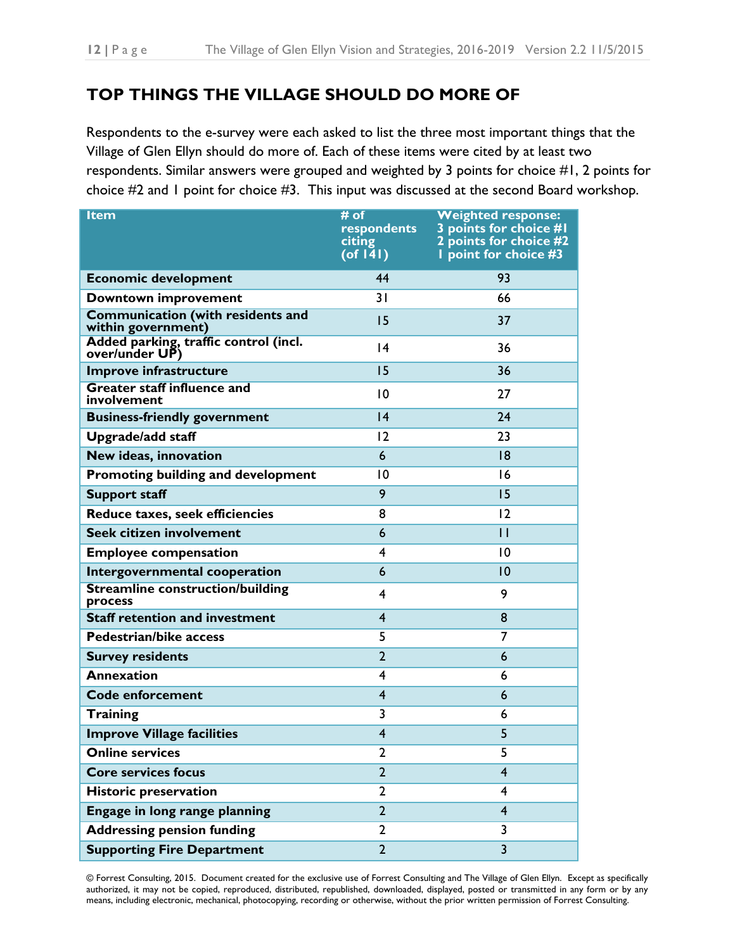# <span id="page-11-0"></span>**TOP THINGS THE VILLAGE SHOULD DO MORE OF**

Respondents to the e-survey were each asked to list the three most important things that the Village of Glen Ellyn should do more of. Each of these items were cited by at least two respondents. Similar answers were grouped and weighted by 3 points for choice #1, 2 points for choice #2 and 1 point for choice #3. This input was discussed at the second Board workshop.

| Item                                                           | # of<br>respondents<br>citing<br>$($ of 141) | <b>Weighted response:</b><br>3 points for choice #1<br>2 points for choice #2<br>I point for choice #3 |
|----------------------------------------------------------------|----------------------------------------------|--------------------------------------------------------------------------------------------------------|
| <b>Economic development</b>                                    | 44                                           | 93                                                                                                     |
| <b>Downtown improvement</b>                                    | 31                                           | 66                                                                                                     |
| <b>Communication (with residents and</b><br>within government) | 15                                           | 37                                                                                                     |
| Added parking, traffic control (incl.<br>over/under UP)        | 4                                            | 36                                                                                                     |
| Improve infrastructure                                         | 15                                           | 36                                                                                                     |
| <b>Greater staff influence and</b><br>involvement              | 10                                           | 27                                                                                                     |
| <b>Business-friendly government</b>                            | 4                                            | 24                                                                                                     |
| <b>Upgrade/add staff</b>                                       | 12                                           | 23                                                                                                     |
| New ideas, innovation                                          | 6                                            | 8                                                                                                      |
| Promoting building and development                             | $\overline{10}$                              | 16                                                                                                     |
| <b>Support staff</b>                                           | 9                                            | 15                                                                                                     |
| Reduce taxes, seek efficiencies                                | 8                                            | 12                                                                                                     |
| Seek citizen involvement                                       | 6                                            | $\overline{1}$                                                                                         |
| <b>Employee compensation</b>                                   | $\overline{4}$                               | 10                                                                                                     |
| Intergovernmental cooperation                                  | 6                                            | 10                                                                                                     |
| <b>Streamline construction/building</b><br>process             | 4                                            | 9                                                                                                      |
| <b>Staff retention and investment</b>                          | $\overline{4}$                               | 8                                                                                                      |
| <b>Pedestrian/bike access</b>                                  | 5                                            | 7                                                                                                      |
| <b>Survey residents</b>                                        | $\overline{2}$                               | 6                                                                                                      |
| <b>Annexation</b>                                              | $\overline{4}$                               | 6                                                                                                      |
| <b>Code enforcement</b>                                        | $\overline{4}$                               | 6                                                                                                      |
| Training                                                       | 3                                            | 6                                                                                                      |
| <b>Improve Village facilities</b>                              | $\overline{4}$                               | 5                                                                                                      |
| <b>Online services</b>                                         | 2                                            | 5                                                                                                      |
| <b>Core services focus</b>                                     | $\overline{2}$                               | $\overline{4}$                                                                                         |
| <b>Historic preservation</b>                                   | $\mathbf{2}$                                 | 4                                                                                                      |
| Engage in long range planning                                  | $\overline{2}$                               | $\overline{4}$                                                                                         |
| <b>Addressing pension funding</b>                              | $\overline{2}$                               | 3                                                                                                      |
| <b>Supporting Fire Department</b>                              | $\overline{2}$                               | $\overline{3}$                                                                                         |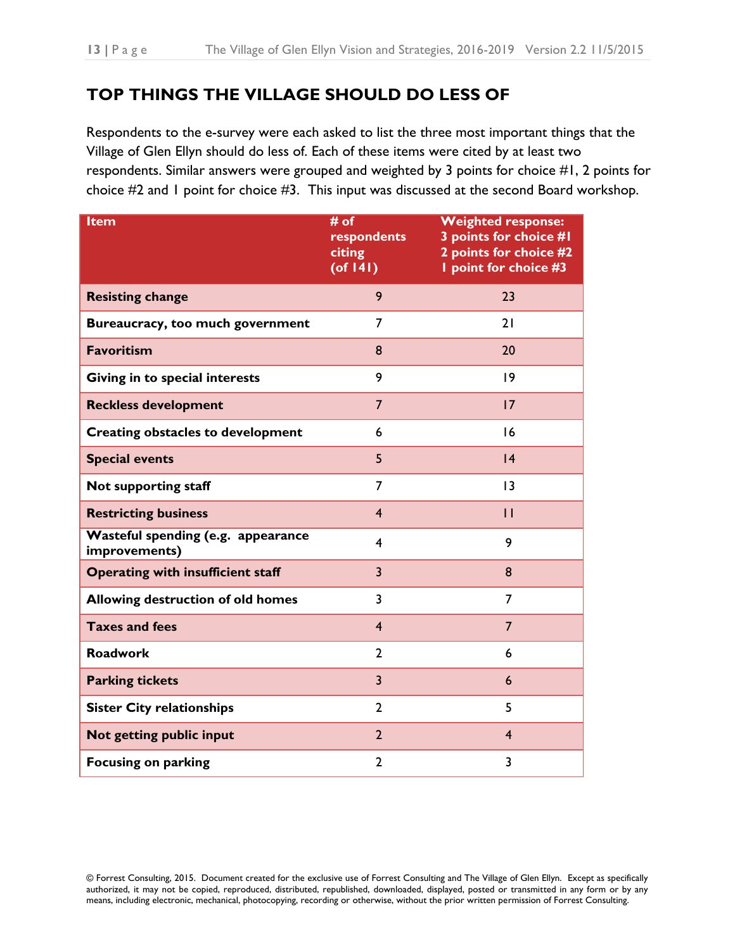# <span id="page-12-0"></span>**TOP THINGS THE VILLAGE SHOULD DO LESS OF**

Respondents to the e-survey were each asked to list the three most important things that the Village of Glen Ellyn should do less of. Each of these items were cited by at least two respondents. Similar answers were grouped and weighted by 3 points for choice #1, 2 points for choice #2 and 1 point for choice #3. This input was discussed at the second Board workshop.

| <b>Item</b>                                         | # of<br>respondents<br>citing<br>$($ of 141 $)$ | <b>Weighted response:</b><br>3 points for choice #I<br>2 points for choice #2<br>I point for choice #3 |
|-----------------------------------------------------|-------------------------------------------------|--------------------------------------------------------------------------------------------------------|
| <b>Resisting change</b>                             | 9                                               | 23                                                                                                     |
| Bureaucracy, too much government                    | 7                                               | 21                                                                                                     |
| <b>Favoritism</b>                                   | 8                                               | 20                                                                                                     |
| Giving in to special interests                      | 9                                               | 9                                                                                                      |
| <b>Reckless development</b>                         | $\overline{7}$                                  | 17                                                                                                     |
| <b>Creating obstacles to development</b>            | 6                                               | 16                                                                                                     |
| <b>Special events</b>                               | 5                                               | 4                                                                                                      |
| Not supporting staff                                | 7                                               | 13                                                                                                     |
| <b>Restricting business</b>                         | $\overline{4}$                                  | $\overline{1}$                                                                                         |
| Wasteful spending (e.g. appearance<br>improvements) | 4                                               | 9                                                                                                      |
| <b>Operating with insufficient staff</b>            | $\overline{\mathbf{3}}$                         | 8                                                                                                      |
| <b>Allowing destruction of old homes</b>            | 3                                               | $\overline{7}$                                                                                         |
| <b>Taxes and fees</b>                               | $\overline{4}$                                  | $\overline{7}$                                                                                         |
| <b>Roadwork</b>                                     | $\overline{2}$                                  | 6                                                                                                      |
| <b>Parking tickets</b>                              | $\overline{3}$                                  | 6                                                                                                      |
| <b>Sister City relationships</b>                    | $\overline{2}$                                  | 5                                                                                                      |
| Not getting public input                            | $\overline{2}$                                  | $\overline{4}$                                                                                         |
| <b>Focusing on parking</b>                          | $\overline{2}$                                  | 3                                                                                                      |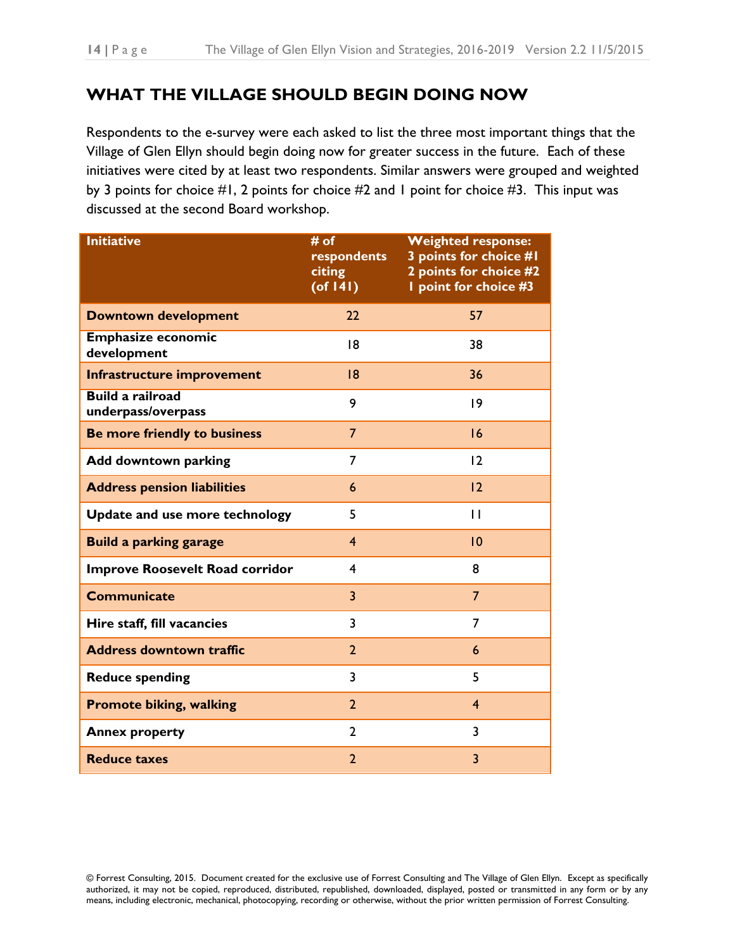### <span id="page-13-0"></span>**WHAT THE VILLAGE SHOULD BEGIN DOING NOW**

Respondents to the e-survey were each asked to list the three most important things that the Village of Glen Ellyn should begin doing now for greater success in the future. Each of these initiatives were cited by at least two respondents. Similar answers were grouped and weighted by 3 points for choice #1, 2 points for choice #2 and 1 point for choice #3. This input was discussed at the second Board workshop.

| <b>Initiative</b>                             | $#$ of<br>respondents<br>citing<br>$($ of 141 $)$ | <b>Weighted response:</b><br>3 points for choice #I<br>2 points for choice #2<br>I point for choice #3 |
|-----------------------------------------------|---------------------------------------------------|--------------------------------------------------------------------------------------------------------|
| <b>Downtown development</b>                   | 22                                                | 57                                                                                                     |
| <b>Emphasize economic</b><br>development      | 18                                                | 38                                                                                                     |
| Infrastructure improvement                    | 8                                                 | 36                                                                                                     |
| <b>Build a railroad</b><br>underpass/overpass | 9                                                 | 9                                                                                                      |
| <b>Be more friendly to business</b>           | $\overline{7}$                                    | 16                                                                                                     |
| Add downtown parking                          | 7                                                 | 12                                                                                                     |
| <b>Address pension liabilities</b>            | 6                                                 | 12                                                                                                     |
| Update and use more technology                | 5                                                 | $\mathbf{H}$                                                                                           |
| <b>Build a parking garage</b>                 | $\overline{4}$                                    | 0                                                                                                      |
| <b>Improve Roosevelt Road corridor</b>        | 4                                                 | 8                                                                                                      |
| <b>Communicate</b>                            | $\overline{3}$                                    | $\overline{7}$                                                                                         |
| Hire staff, fill vacancies                    | 3                                                 | 7                                                                                                      |
| <b>Address downtown traffic</b>               | $\overline{2}$                                    | 6                                                                                                      |
| <b>Reduce spending</b>                        | 3                                                 | 5                                                                                                      |
| <b>Promote biking, walking</b>                | $\overline{2}$                                    | $\overline{4}$                                                                                         |
| <b>Annex property</b>                         | $\overline{2}$                                    | 3                                                                                                      |
| <b>Reduce taxes</b>                           | $\overline{2}$                                    | 3                                                                                                      |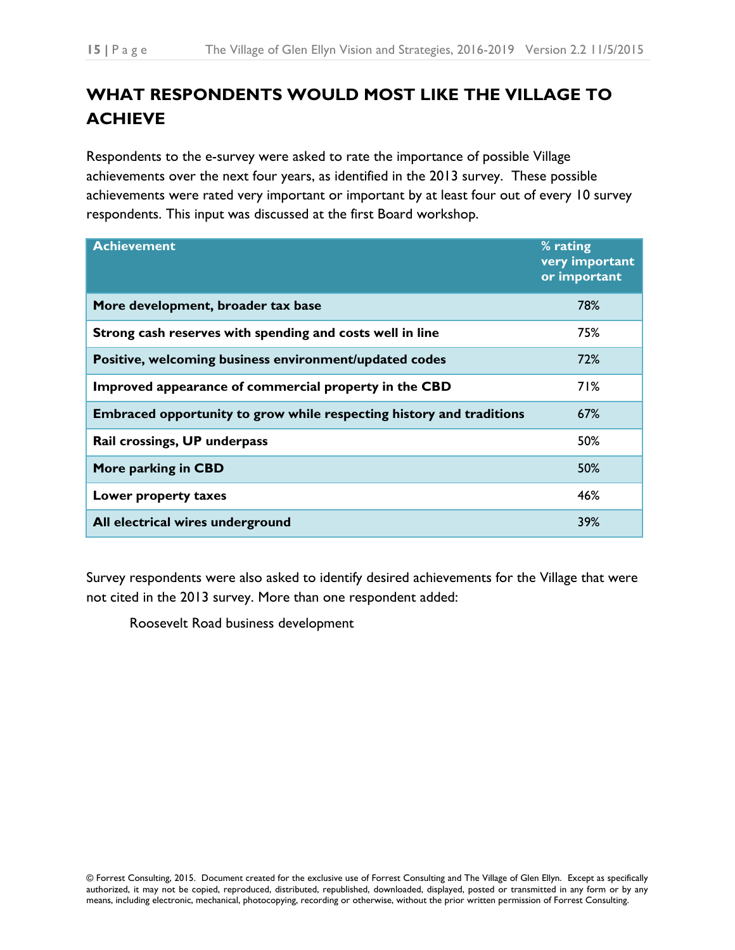# <span id="page-14-0"></span>**WHAT RESPONDENTS WOULD MOST LIKE THE VILLAGE TO ACHIEVE**

Respondents to the e-survey were asked to rate the importance of possible Village achievements over the next four years, as identified in the 2013 survey. These possible achievements were rated very important or important by at least four out of every 10 survey respondents. This input was discussed at the first Board workshop.

| <b>Achievement</b>                                                   | % rating<br>very important<br>or important |
|----------------------------------------------------------------------|--------------------------------------------|
| More development, broader tax base                                   | 78%                                        |
| Strong cash reserves with spending and costs well in line            | 75%                                        |
| Positive, welcoming business environment/updated codes               | 72%                                        |
| Improved appearance of commercial property in the CBD                | 71%                                        |
| Embraced opportunity to grow while respecting history and traditions | 67%                                        |
| Rail crossings, UP underpass                                         | 50%                                        |
| More parking in CBD                                                  | 50%                                        |
| Lower property taxes                                                 | 46%                                        |
| All electrical wires underground                                     | 39%                                        |

Survey respondents were also asked to identify desired achievements for the Village that were not cited in the 2013 survey. More than one respondent added:

Roosevelt Road business development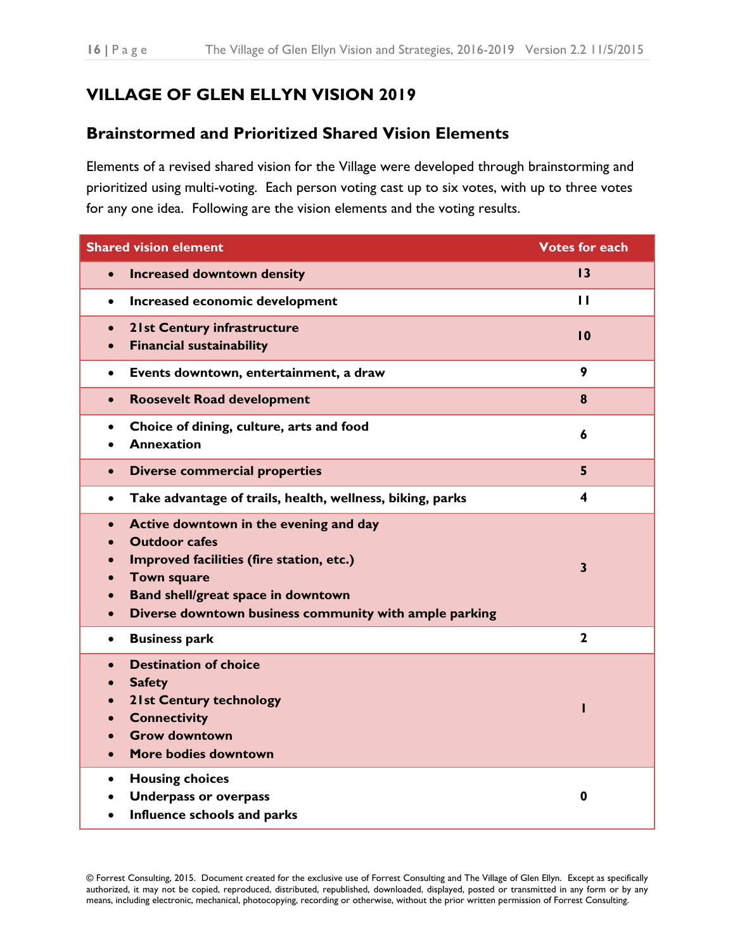## <span id="page-15-0"></span>**VILLAGE OF GLEN ELLYN VISION 2019**

#### <span id="page-15-1"></span>**Brainstormed and Prioritized Shared Vision Elements**

Elements of a revised shared vision for the Village were developed through brainstorming and prioritized using multi-voting. Each person voting cast up to six votes, with up to three votes for any one idea. Following are the vision elements and the voting results.

| <b>Shared vision element</b>                                                                                                                                                                                                                                            | <b>Votes for each</b>   |
|-------------------------------------------------------------------------------------------------------------------------------------------------------------------------------------------------------------------------------------------------------------------------|-------------------------|
| <b>Increased downtown density</b><br>$\bullet$                                                                                                                                                                                                                          | 13                      |
| Increased economic development<br>$\bullet$                                                                                                                                                                                                                             | $\mathbf{H}$            |
| <b>21st Century infrastructure</b><br>$\bullet$<br><b>Financial sustainability</b><br>$\bullet$                                                                                                                                                                         | 10                      |
| Events downtown, entertainment, a draw<br>$\bullet$                                                                                                                                                                                                                     | 9                       |
| <b>Roosevelt Road development</b><br>$\bullet$                                                                                                                                                                                                                          | 8                       |
| Choice of dining, culture, arts and food<br>$\bullet$<br><b>Annexation</b>                                                                                                                                                                                              | 6                       |
| <b>Diverse commercial properties</b><br>$\bullet$                                                                                                                                                                                                                       | 5 <sup>5</sup>          |
| Take advantage of trails, health, wellness, biking, parks<br>$\bullet$                                                                                                                                                                                                  | 4                       |
| Active downtown in the evening and day<br>$\bullet$<br><b>Outdoor cafes</b><br>Improved facilities (fire station, etc.)<br><b>Town square</b><br>Band shell/great space in downtown<br>$\bullet$<br>Diverse downtown business community with ample parking<br>$\bullet$ | $\overline{\mathbf{3}}$ |
| <b>Business park</b><br>$\bullet$                                                                                                                                                                                                                                       | $\overline{2}$          |
| <b>Destination of choice</b><br>$\bullet$<br><b>Safety</b><br><b>21st Century technology</b><br>$\bullet$<br><b>Connectivity</b><br><b>Grow downtown</b><br>More bodies downtown<br>$\bullet$                                                                           | I                       |
| <b>Housing choices</b><br>$\bullet$<br><b>Underpass or overpass</b><br>Influence schools and parks<br>$\bullet$                                                                                                                                                         | $\mathbf 0$             |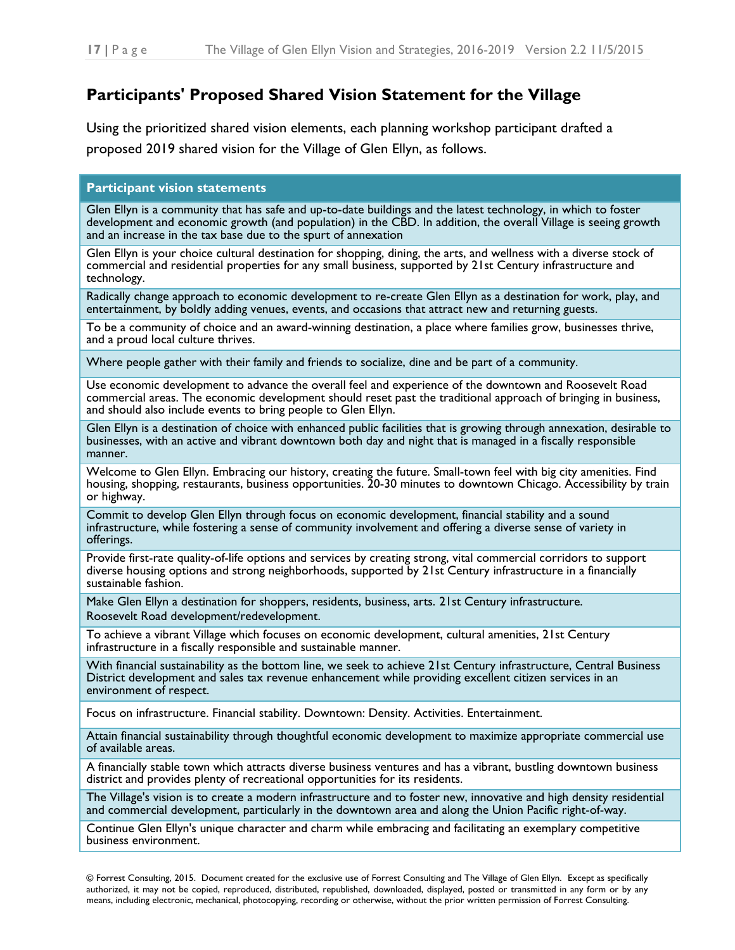#### <span id="page-16-0"></span>**Participants' Proposed Shared Vision Statement for the Village**

Using the prioritized shared vision elements, each planning workshop participant drafted a proposed 2019 shared vision for the Village of Glen Ellyn, as follows.

#### **Participant vision statements**

Glen Ellyn is a community that has safe and up-to-date buildings and the latest technology, in which to foster development and economic growth (and population) in the CBD. In addition, the overall Village is seeing growth and an increase in the tax base due to the spurt of annexation

Glen Ellyn is your choice cultural destination for shopping, dining, the arts, and wellness with a diverse stock of commercial and residential properties for any small business, supported by 21st Century infrastructure and technology.

Radically change approach to economic development to re-create Glen Ellyn as a destination for work, play, and entertainment, by boldly adding venues, events, and occasions that attract new and returning guests.

To be a community of choice and an award-winning destination, a place where families grow, businesses thrive, and a proud local culture thrives.

Where people gather with their family and friends to socialize, dine and be part of a community.

Use economic development to advance the overall feel and experience of the downtown and Roosevelt Road commercial areas. The economic development should reset past the traditional approach of bringing in business, and should also include events to bring people to Glen Ellyn.

Glen Ellyn is a destination of choice with enhanced public facilities that is growing through annexation, desirable to businesses, with an active and vibrant downtown both day and night that is managed in a fiscally responsible manner.

Welcome to Glen Ellyn. Embracing our history, creating the future. Small-town feel with big city amenities. Find housing, shopping, restaurants, business opportunities. 20-30 minutes to downtown Chicago. Accessibility by train or highway.

Commit to develop Glen Ellyn through focus on economic development, financial stability and a sound infrastructure, while fostering a sense of community involvement and offering a diverse sense of variety in offerings.

Provide first-rate quality-of-life options and services by creating strong, vital commercial corridors to support diverse housing options and strong neighborhoods, supported by 21st Century infrastructure in a financially sustainable fashion.

Make Glen Ellyn a destination for shoppers, residents, business, arts. 21st Century infrastructure. Roosevelt Road development/redevelopment.

To achieve a vibrant Village which focuses on economic development, cultural amenities, 21st Century infrastructure in a fiscally responsible and sustainable manner.

With financial sustainability as the bottom line, we seek to achieve 21st Century infrastructure, Central Business District development and sales tax revenue enhancement while providing excellent citizen services in an environment of respect.

Focus on infrastructure. Financial stability. Downtown: Density. Activities. Entertainment.

Attain financial sustainability through thoughtful economic development to maximize appropriate commercial use of available areas.

A financially stable town which attracts diverse business ventures and has a vibrant, bustling downtown business district and provides plenty of recreational opportunities for its residents.

The Village's vision is to create a modern infrastructure and to foster new, innovative and high density residential and commercial development, particularly in the downtown area and along the Union Pacific right-of-way.

Continue Glen Ellyn's unique character and charm while embracing and facilitating an exemplary competitive business environment.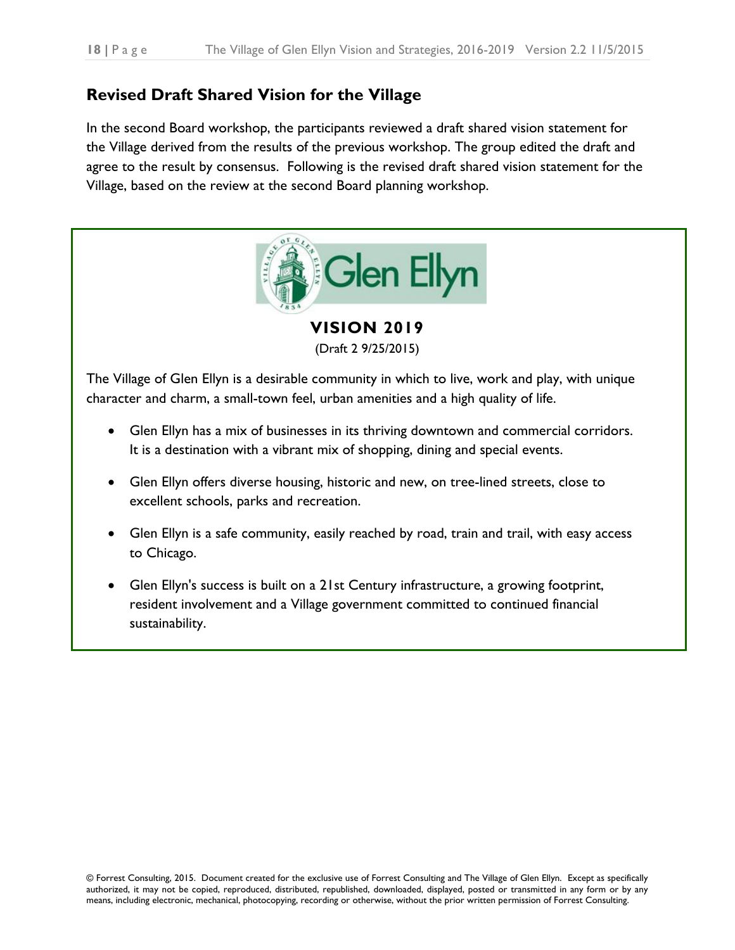#### <span id="page-17-0"></span>**Revised Draft Shared Vision for the Village**

In the second Board workshop, the participants reviewed a draft shared vision statement for the Village derived from the results of the previous workshop. The group edited the draft and agree to the result by consensus. Following is the revised draft shared vision statement for the Village, based on the review at the second Board planning workshop.



**VISION 2019**

(Draft 2 9/25/2015)

The Village of Glen Ellyn is a desirable community in which to live, work and play, with unique character and charm, a small-town feel, urban amenities and a high quality of life.

- Glen Ellyn has a mix of businesses in its thriving downtown and commercial corridors. It is a destination with a vibrant mix of shopping, dining and special events.
- Glen Ellyn offers diverse housing, historic and new, on tree-lined streets, close to excellent schools, parks and recreation.
- Glen Ellyn is a safe community, easily reached by road, train and trail, with easy access to Chicago.
- Glen Ellyn's success is built on a 21st Century infrastructure, a growing footprint, resident involvement and a Village government committed to continued financial sustainability.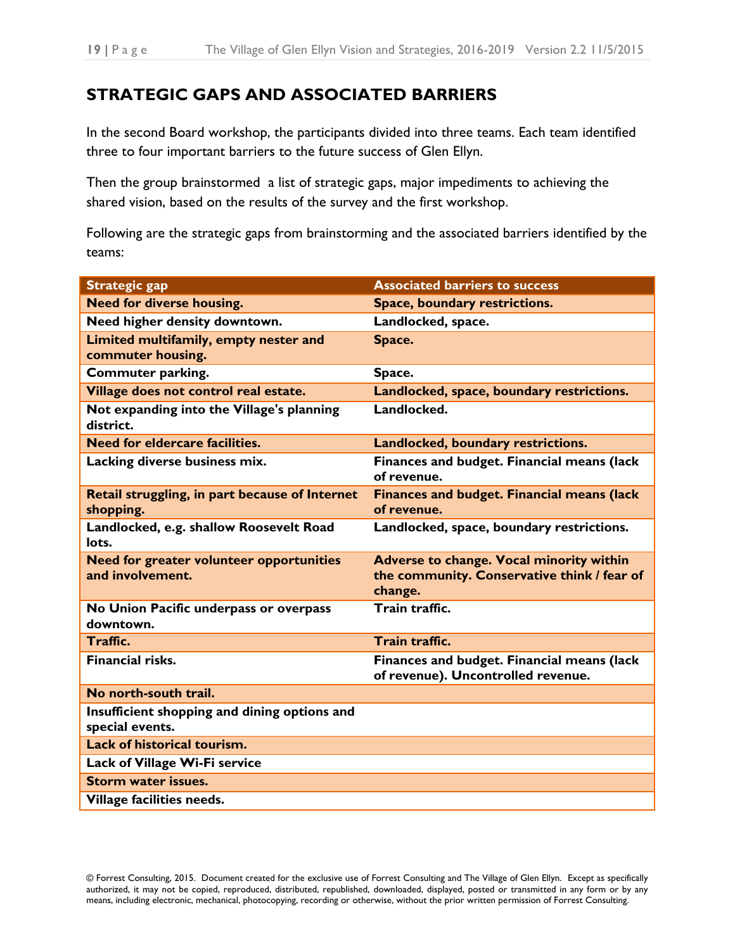#### <span id="page-18-0"></span>**STRATEGIC GAPS AND ASSOCIATED BARRIERS**

In the second Board workshop, the participants divided into three teams. Each team identified three to four important barriers to the future success of Glen Ellyn.

Then the group brainstormed a list of strategic gaps, major impediments to achieving the shared vision, based on the results of the survey and the first workshop.

Following are the strategic gaps from brainstorming and the associated barriers identified by the teams:

<span id="page-18-1"></span>

| <b>Associated barriers to success</b>                                                              |
|----------------------------------------------------------------------------------------------------|
| <b>Space, boundary restrictions.</b>                                                               |
| Landlocked, space.                                                                                 |
| Space.                                                                                             |
|                                                                                                    |
| Space.                                                                                             |
| Landlocked, space, boundary restrictions.                                                          |
| Landlocked.                                                                                        |
| Landlocked, boundary restrictions.                                                                 |
| Finances and budget. Financial means (lack<br>of revenue.                                          |
| <b>Finances and budget. Financial means (lack</b><br>of revenue.                                   |
| Landlocked, space, boundary restrictions.                                                          |
| Adverse to change. Vocal minority within<br>the community. Conservative think / fear of<br>change. |
| Train traffic.                                                                                     |
| Train traffic.                                                                                     |
| Finances and budget. Financial means (lack<br>of revenue). Uncontrolled revenue.                   |
|                                                                                                    |
|                                                                                                    |
|                                                                                                    |
|                                                                                                    |
|                                                                                                    |
|                                                                                                    |
|                                                                                                    |
|                                                                                                    |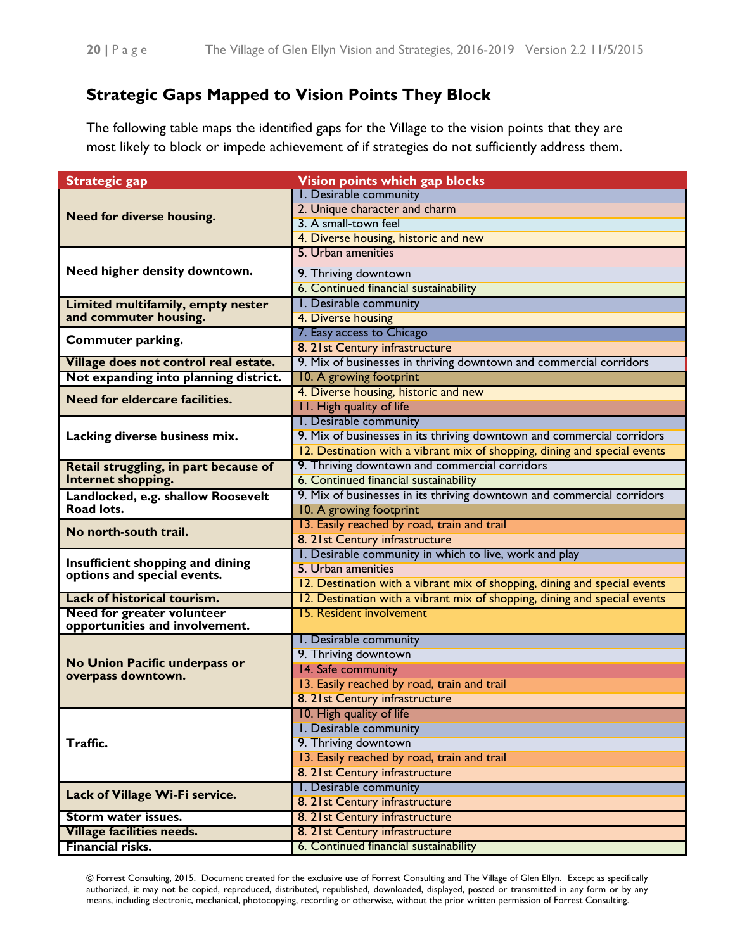#### **Strategic Gaps Mapped to Vision Points They Block**

The following table maps the identified gaps for the Village to the vision points that they are most likely to block or impede achievement of if strategies do not sufficiently address them.

| <b>Strategic gap</b>                  | <b>Vision points which gap blocks</b>                                     |  |  |  |  |  |  |
|---------------------------------------|---------------------------------------------------------------------------|--|--|--|--|--|--|
|                                       | I. Desirable community                                                    |  |  |  |  |  |  |
| <b>Need for diverse housing.</b>      | 2. Unique character and charm                                             |  |  |  |  |  |  |
|                                       | 3. A small-town feel                                                      |  |  |  |  |  |  |
|                                       | 4. Diverse housing, historic and new                                      |  |  |  |  |  |  |
|                                       | 5. Urban amenities                                                        |  |  |  |  |  |  |
| Need higher density downtown.         | 9. Thriving downtown                                                      |  |  |  |  |  |  |
|                                       | 6. Continued financial sustainability                                     |  |  |  |  |  |  |
| Limited multifamily, empty nester     | I. Desirable community                                                    |  |  |  |  |  |  |
| and commuter housing.                 | 4. Diverse housing                                                        |  |  |  |  |  |  |
|                                       | 7. Easy access to Chicago                                                 |  |  |  |  |  |  |
| Commuter parking.                     | 8. 21st Century infrastructure                                            |  |  |  |  |  |  |
| Village does not control real estate. | 9. Mix of businesses in thriving downtown and commercial corridors        |  |  |  |  |  |  |
| Not expanding into planning district. | 10. A growing footprint                                                   |  |  |  |  |  |  |
|                                       | 4. Diverse housing, historic and new                                      |  |  |  |  |  |  |
| Need for eldercare facilities.        | 11. High quality of life                                                  |  |  |  |  |  |  |
|                                       | I. Desirable community                                                    |  |  |  |  |  |  |
| Lacking diverse business mix.         | 9. Mix of businesses in its thriving downtown and commercial corridors    |  |  |  |  |  |  |
|                                       | 12. Destination with a vibrant mix of shopping, dining and special events |  |  |  |  |  |  |
| Retail struggling, in part because of | 9. Thriving downtown and commercial corridors                             |  |  |  |  |  |  |
| Internet shopping.                    | 6. Continued financial sustainability                                     |  |  |  |  |  |  |
| Landlocked, e.g. shallow Roosevelt    | 9. Mix of businesses in its thriving downtown and commercial corridors    |  |  |  |  |  |  |
| Road lots.                            | 10. A growing footprint                                                   |  |  |  |  |  |  |
|                                       | 13. Easily reached by road, train and trail                               |  |  |  |  |  |  |
| No north-south trail.                 | 8. 21st Century infrastructure                                            |  |  |  |  |  |  |
|                                       | 1. Desirable community in which to live, work and play                    |  |  |  |  |  |  |
| Insufficient shopping and dining      | 5. Urban amenities                                                        |  |  |  |  |  |  |
| options and special events.           | 12. Destination with a vibrant mix of shopping, dining and special events |  |  |  |  |  |  |
| Lack of historical tourism.           | 12. Destination with a vibrant mix of shopping, dining and special events |  |  |  |  |  |  |
| <b>Need for greater volunteer</b>     | 15. Resident involvement                                                  |  |  |  |  |  |  |
| opportunities and involvement.        |                                                                           |  |  |  |  |  |  |
|                                       | 1. Desirable community                                                    |  |  |  |  |  |  |
| No Union Pacific underpass or         | 9. Thriving downtown                                                      |  |  |  |  |  |  |
| overpass downtown.                    | 14. Safe community                                                        |  |  |  |  |  |  |
|                                       | 13. Easily reached by road, train and trail                               |  |  |  |  |  |  |
|                                       | 8. 21st Century infrastructure                                            |  |  |  |  |  |  |
|                                       | 10. High quality of life                                                  |  |  |  |  |  |  |
|                                       | I. Desirable community                                                    |  |  |  |  |  |  |
| Traffic.                              | 9. Thriving downtown                                                      |  |  |  |  |  |  |
|                                       | 13. Easily reached by road, train and trail                               |  |  |  |  |  |  |
|                                       | 8. 21st Century infrastructure                                            |  |  |  |  |  |  |
| Lack of Village Wi-Fi service.        | 1. Desirable community                                                    |  |  |  |  |  |  |
|                                       | 8. 21st Century infrastructure                                            |  |  |  |  |  |  |
| Storm water issues.                   | 8. 21st Century infrastructure                                            |  |  |  |  |  |  |
| <b>Village facilities needs.</b>      | 8. 21st Century infrastructure                                            |  |  |  |  |  |  |
| Financial risks.                      | 6. Continued financial sustainability                                     |  |  |  |  |  |  |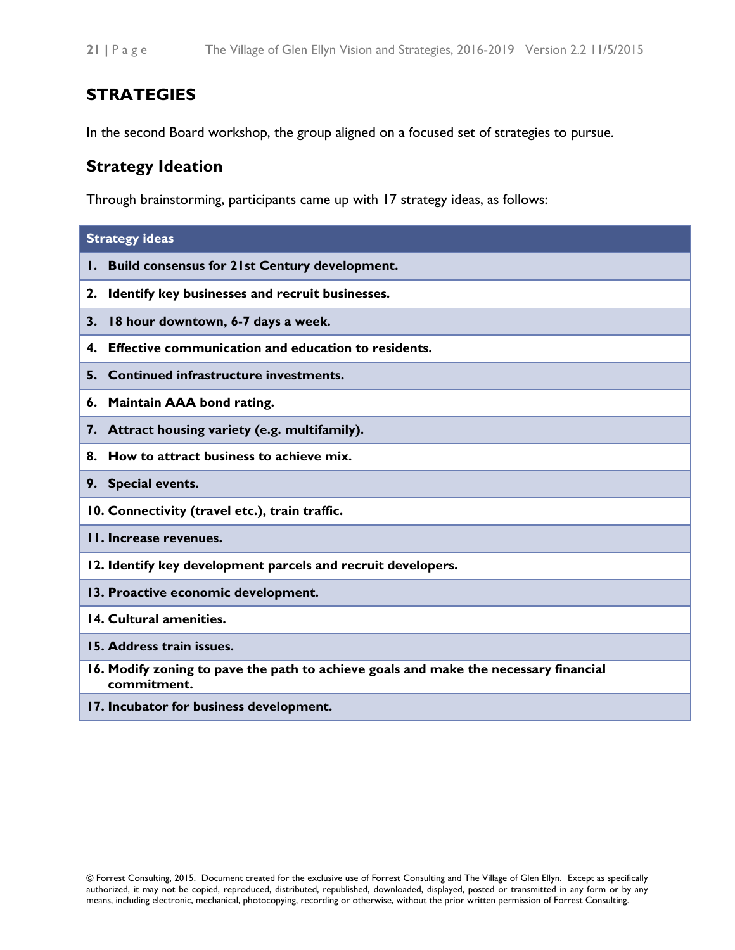#### <span id="page-20-0"></span>**STRATEGIES**

In the second Board workshop, the group aligned on a focused set of strategies to pursue.

#### <span id="page-20-1"></span>**Strategy Ideation**

Through brainstorming, participants came up with 17 strategy ideas, as follows:

| <b>Strategy ideas</b>                                                                               |
|-----------------------------------------------------------------------------------------------------|
| <b>Build consensus for 21st Century development.</b><br>ı.                                          |
| Identify key businesses and recruit businesses.<br>2.                                               |
| 18 hour downtown, 6-7 days a week.<br>3.                                                            |
| <b>Effective communication and education to residents.</b><br>4.                                    |
| Continued infrastructure investments.<br>5.                                                         |
| Maintain AAA bond rating.<br>6.                                                                     |
| 7. Attract housing variety (e.g. multifamily).                                                      |
| How to attract business to achieve mix.<br>8.                                                       |
| 9. Special events.                                                                                  |
| 10. Connectivity (travel etc.), train traffic.                                                      |
| <b>11. Increase revenues.</b>                                                                       |
| 12. Identify key development parcels and recruit developers.                                        |
| 13. Proactive economic development.                                                                 |
| 14. Cultural amenities.                                                                             |
| 15. Address train issues.                                                                           |
| 16. Modify zoning to pave the path to achieve goals and make the necessary financial<br>commitment. |
| 17. Incubator for business development.                                                             |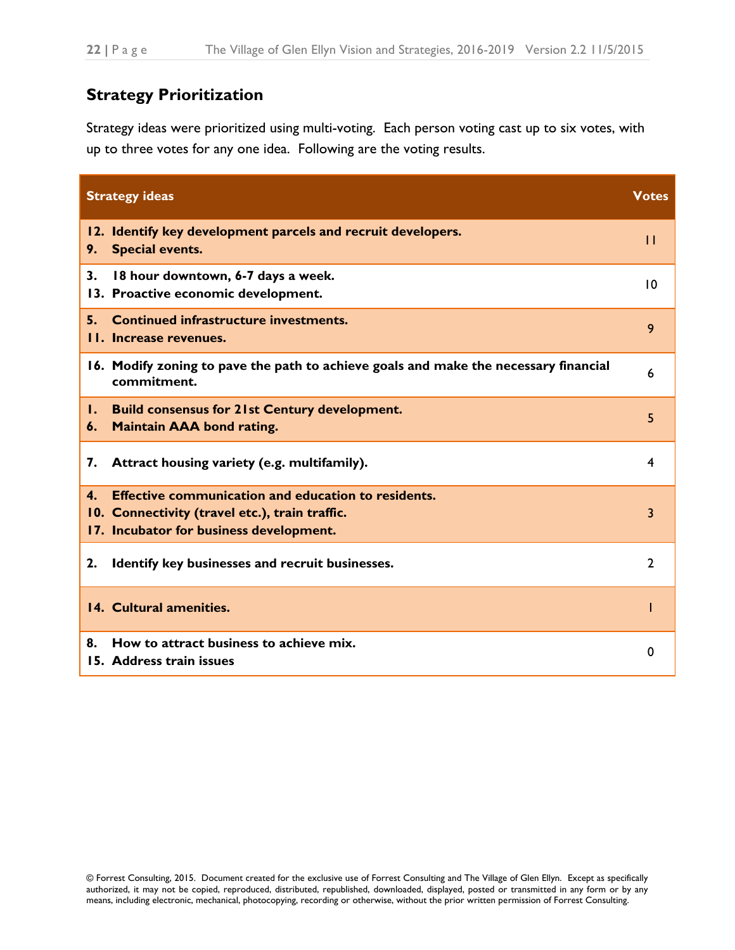#### <span id="page-21-0"></span>**Strategy Prioritization**

Strategy ideas were prioritized using multi-voting. Each person voting cast up to six votes, with up to three votes for any one idea. Following are the voting results.

| <b>Strategy ideas</b>                                                                                                                                         | <b>Votes</b>   |
|---------------------------------------------------------------------------------------------------------------------------------------------------------------|----------------|
| 12. Identify key development parcels and recruit developers.<br><b>Special events.</b><br>9.                                                                  | П              |
| 3.<br>18 hour downtown, 6-7 days a week.<br>13. Proactive economic development.                                                                               | $\overline{0}$ |
| <b>Continued infrastructure investments.</b><br>5.<br><b>11. Increase revenues.</b>                                                                           | 9              |
| 16. Modify zoning to pave the path to achieve goals and make the necessary financial<br>commitment.                                                           | 6              |
| <b>Build consensus for 21st Century development.</b><br>L.<br><b>Maintain AAA bond rating.</b><br>6.                                                          | 5              |
| Attract housing variety (e.g. multifamily).<br>7.                                                                                                             | 4              |
| <b>Effective communication and education to residents.</b><br>4.<br>10. Connectivity (travel etc.), train traffic.<br>17. Incubator for business development. | 3              |
| Identify key businesses and recruit businesses.<br>2.                                                                                                         | 2              |
| 14. Cultural amenities.                                                                                                                                       |                |
| How to attract business to achieve mix.<br>8.<br>15. Address train issues                                                                                     | 0              |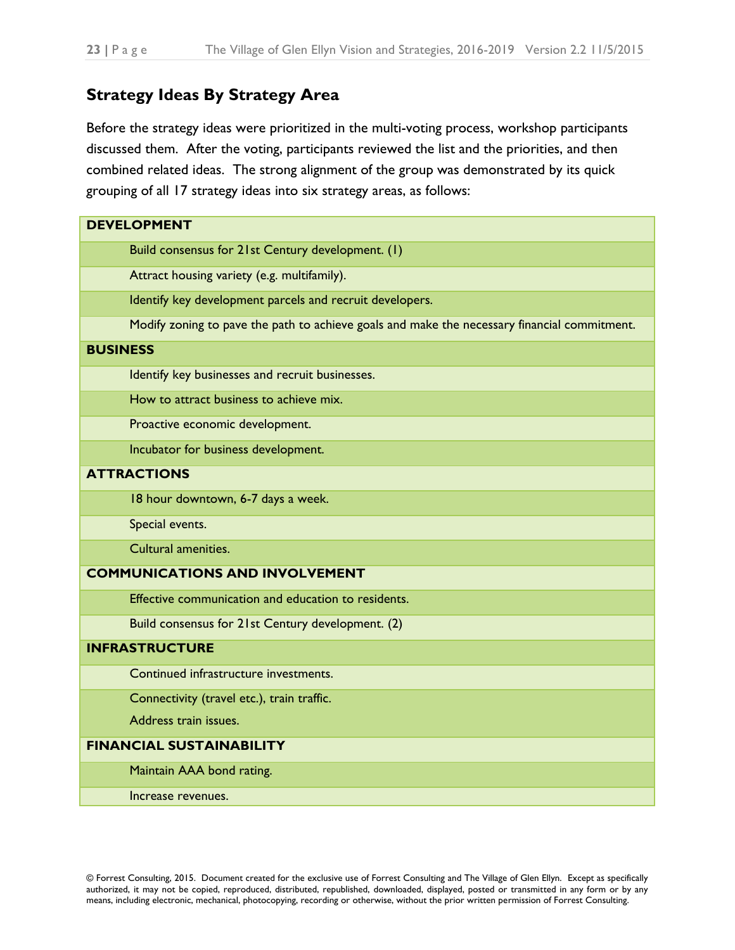### <span id="page-22-0"></span>**Strategy Ideas By Strategy Area**

Before the strategy ideas were prioritized in the multi-voting process, workshop participants discussed them. After the voting, participants reviewed the list and the priorities, and then combined related ideas. The strong alignment of the group was demonstrated by its quick grouping of all 17 strategy ideas into six strategy areas, as follows:

| <b>DEVELOPMENT</b>                                                                           |
|----------------------------------------------------------------------------------------------|
| Build consensus for 21st Century development. (1)                                            |
| Attract housing variety (e.g. multifamily).                                                  |
| Identify key development parcels and recruit developers.                                     |
| Modify zoning to pave the path to achieve goals and make the necessary financial commitment. |
| <b>BUSINESS</b>                                                                              |
| Identify key businesses and recruit businesses.                                              |
| How to attract business to achieve mix.                                                      |
| Proactive economic development.                                                              |
| Incubator for business development.                                                          |
| <b>ATTRACTIONS</b>                                                                           |
| 18 hour downtown, 6-7 days a week.                                                           |
| Special events.                                                                              |
| Cultural amenities.                                                                          |
| <b>COMMUNICATIONS AND INVOLVEMENT</b>                                                        |
| Effective communication and education to residents.                                          |
| Build consensus for 21st Century development. (2)                                            |
| <b>INFRASTRUCTURE</b>                                                                        |
| Continued infrastructure investments.                                                        |
| Connectivity (travel etc.), train traffic.                                                   |
| Address train issues.                                                                        |
| <b>FINANCIAL SUSTAINABILITY</b>                                                              |
| Maintain AAA bond rating.                                                                    |
| Increase revenues.                                                                           |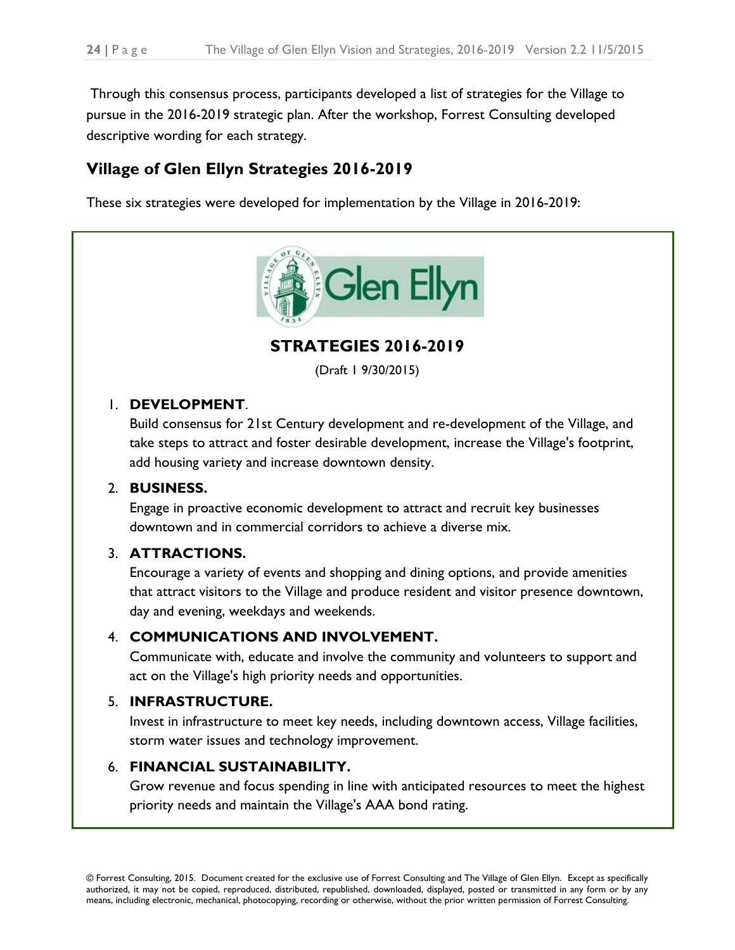Through this consensus process, participants developed a list of strategies for the Village to pursue in the 2016-2019 strategic plan. After the workshop, Forrest Consulting developed descriptive wording for each strategy.

#### <span id="page-23-0"></span>**Village of Glen Ellyn Strategies 2016-2019**

These six strategies were developed for implementation by the Village in 2016-2019:



#### **STRATEGIES 2016-2019**

(Draft 1 9/30/2015)

#### 1. **DEVELOPMENT**.

Build consensus for 21st Century development and re-development of the Village, and take steps to attract and foster desirable development, increase the Village's footprint, add housing variety and increase downtown density.

#### 2. **BUSINESS.**

Engage in proactive economic development to attract and recruit key businesses downtown and in commercial corridors to achieve a diverse mix.

#### 3. **ATTRACTIONS.**

Encourage a variety of events and shopping and dining options, and provide amenities that attract visitors to the Village and produce resident and visitor presence downtown, day and evening, weekdays and weekends.

#### 4. **COMMUNICATIONS AND INVOLVEMENT.**

Communicate with, educate and involve the community and volunteers to support and act on the Village's high priority needs and opportunities.

#### 5. **INFRASTRUCTURE.**

Invest in infrastructure to meet key needs, including downtown access, Village facilities, storm water issues and technology improvement.

#### 6. **FINANCIAL SUSTAINABILITY.**

Grow revenue and focus spending in line with anticipated resources to meet the highest priority needs and maintain the Village's AAA bond rating.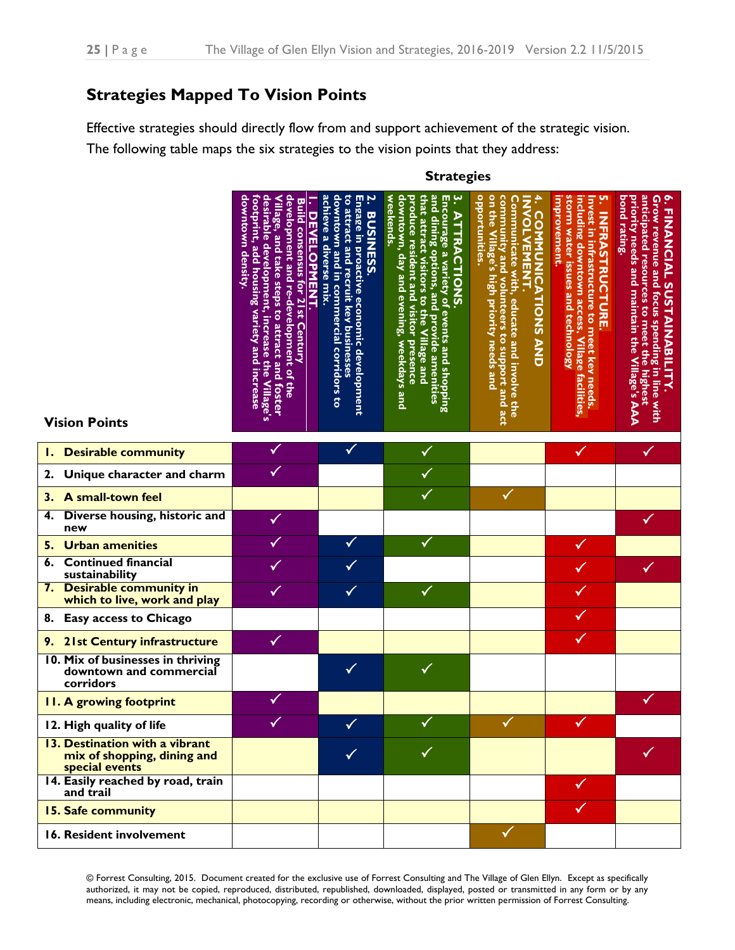# <span id="page-24-0"></span>**Strategies Mapped To Vision Points**

Effective strategies should directly flow from and support achievement of the strategic vision. The following table maps the six strategies to the vision points that they address:

 **Strategies**

| <b>Vision Points</b>                                                            | development and re-development of the<br>Village, and take steps to attract and foster<br>desirable development, increase the Village's<br>downtown density.<br>footprint, add housing variety and increase<br>Build consensus for 21st Century<br><b>DEVELOPMENT.</b> | downtown and in commercial corridors to<br>achieve a diverse mix.<br>to attract and recruit key businesses<br>2. BUSINESS.<br>Engage in proactive economic development<br><b>BUSINESS.</b> | یب<br>that attract visitors to the Village and<br>and dining options, and provide amenities<br>Encourage a variety of events and shopping<br>weekends.<br>produce resident and visitor presence<br>downtown, day and evening, weekdays and<br><b>ATTRA</b><br><b>CTIONS</b> | opportunities.<br>on the Village's high priority needs and<br>community and volunteers to support and act<br>ommunicate with, educate and involve the<br><b>NOLVEMENT.</b><br><b>COMMUNICATIONS AND</b> | storm water issues and technology<br><u>ν</u> τ<br>Invest in infrastructure to meet key needs.<br>improvement.<br>including downtown access. Village<br><b>INFRASTRUCTURE</b><br>facilities, | anticipated resources to meet the highest<br>Grow revenue and focus spending in line with<br>bond rating.<br>priority needs and maintain the Village's AAA<br>$\mathbf{e}$<br>FINANCIAL SUSTAINABILITY. |
|---------------------------------------------------------------------------------|------------------------------------------------------------------------------------------------------------------------------------------------------------------------------------------------------------------------------------------------------------------------|--------------------------------------------------------------------------------------------------------------------------------------------------------------------------------------------|-----------------------------------------------------------------------------------------------------------------------------------------------------------------------------------------------------------------------------------------------------------------------------|---------------------------------------------------------------------------------------------------------------------------------------------------------------------------------------------------------|----------------------------------------------------------------------------------------------------------------------------------------------------------------------------------------------|---------------------------------------------------------------------------------------------------------------------------------------------------------------------------------------------------------|
| $\mathbf{L}$<br><b>Desirable community</b>                                      |                                                                                                                                                                                                                                                                        | ✓                                                                                                                                                                                          | $\checkmark$                                                                                                                                                                                                                                                                |                                                                                                                                                                                                         | $\checkmark$                                                                                                                                                                                 | $\checkmark$                                                                                                                                                                                            |
| 2.<br>Unique character and charm                                                |                                                                                                                                                                                                                                                                        |                                                                                                                                                                                            |                                                                                                                                                                                                                                                                             |                                                                                                                                                                                                         |                                                                                                                                                                                              |                                                                                                                                                                                                         |
| 3. A small-town feel                                                            |                                                                                                                                                                                                                                                                        |                                                                                                                                                                                            | $\checkmark$                                                                                                                                                                                                                                                                | $\checkmark$                                                                                                                                                                                            |                                                                                                                                                                                              |                                                                                                                                                                                                         |
| Diverse housing, historic and<br>4.<br>new                                      |                                                                                                                                                                                                                                                                        |                                                                                                                                                                                            |                                                                                                                                                                                                                                                                             |                                                                                                                                                                                                         |                                                                                                                                                                                              |                                                                                                                                                                                                         |
| 5.<br><b>Urban amenities</b>                                                    |                                                                                                                                                                                                                                                                        | $\checkmark$                                                                                                                                                                               | $\checkmark$                                                                                                                                                                                                                                                                |                                                                                                                                                                                                         |                                                                                                                                                                                              |                                                                                                                                                                                                         |
| <b>Continued financial</b><br>6.<br>sustainability                              |                                                                                                                                                                                                                                                                        | $\checkmark$                                                                                                                                                                               |                                                                                                                                                                                                                                                                             |                                                                                                                                                                                                         |                                                                                                                                                                                              | $\checkmark$                                                                                                                                                                                            |
| 7. Desirable community in<br>which to live, work and play                       |                                                                                                                                                                                                                                                                        | $\checkmark$                                                                                                                                                                               | $\checkmark$                                                                                                                                                                                                                                                                |                                                                                                                                                                                                         |                                                                                                                                                                                              |                                                                                                                                                                                                         |
| 8.<br><b>Easy access to Chicago</b>                                             |                                                                                                                                                                                                                                                                        |                                                                                                                                                                                            |                                                                                                                                                                                                                                                                             |                                                                                                                                                                                                         |                                                                                                                                                                                              |                                                                                                                                                                                                         |
| 9. 21st Century infrastructure                                                  | $\checkmark$                                                                                                                                                                                                                                                           |                                                                                                                                                                                            |                                                                                                                                                                                                                                                                             |                                                                                                                                                                                                         | ✓                                                                                                                                                                                            |                                                                                                                                                                                                         |
| 10. Mix of businesses in thriving<br>downtown and commercial<br>corridors       |                                                                                                                                                                                                                                                                        | ✓                                                                                                                                                                                          | $\checkmark$                                                                                                                                                                                                                                                                |                                                                                                                                                                                                         |                                                                                                                                                                                              |                                                                                                                                                                                                         |
| <b>II. A growing footprint</b>                                                  |                                                                                                                                                                                                                                                                        |                                                                                                                                                                                            |                                                                                                                                                                                                                                                                             |                                                                                                                                                                                                         |                                                                                                                                                                                              | $\checkmark$                                                                                                                                                                                            |
| 12. High quality of life                                                        |                                                                                                                                                                                                                                                                        | $\checkmark$                                                                                                                                                                               | $\checkmark$                                                                                                                                                                                                                                                                | $\checkmark$                                                                                                                                                                                            | $\blacktriangledown$                                                                                                                                                                         |                                                                                                                                                                                                         |
| 13. Destination with a vibrant<br>mix of shopping, dining and<br>special events |                                                                                                                                                                                                                                                                        | $\checkmark$                                                                                                                                                                               | $\checkmark$                                                                                                                                                                                                                                                                |                                                                                                                                                                                                         |                                                                                                                                                                                              | $\checkmark$                                                                                                                                                                                            |
| 14. Easily reached by road, train<br>and trail                                  |                                                                                                                                                                                                                                                                        |                                                                                                                                                                                            |                                                                                                                                                                                                                                                                             |                                                                                                                                                                                                         | $\checkmark$                                                                                                                                                                                 |                                                                                                                                                                                                         |
| 15. Safe community                                                              |                                                                                                                                                                                                                                                                        |                                                                                                                                                                                            |                                                                                                                                                                                                                                                                             |                                                                                                                                                                                                         | $\checkmark$                                                                                                                                                                                 |                                                                                                                                                                                                         |
| 16. Resident involvement                                                        |                                                                                                                                                                                                                                                                        |                                                                                                                                                                                            |                                                                                                                                                                                                                                                                             | $\checkmark$                                                                                                                                                                                            |                                                                                                                                                                                              |                                                                                                                                                                                                         |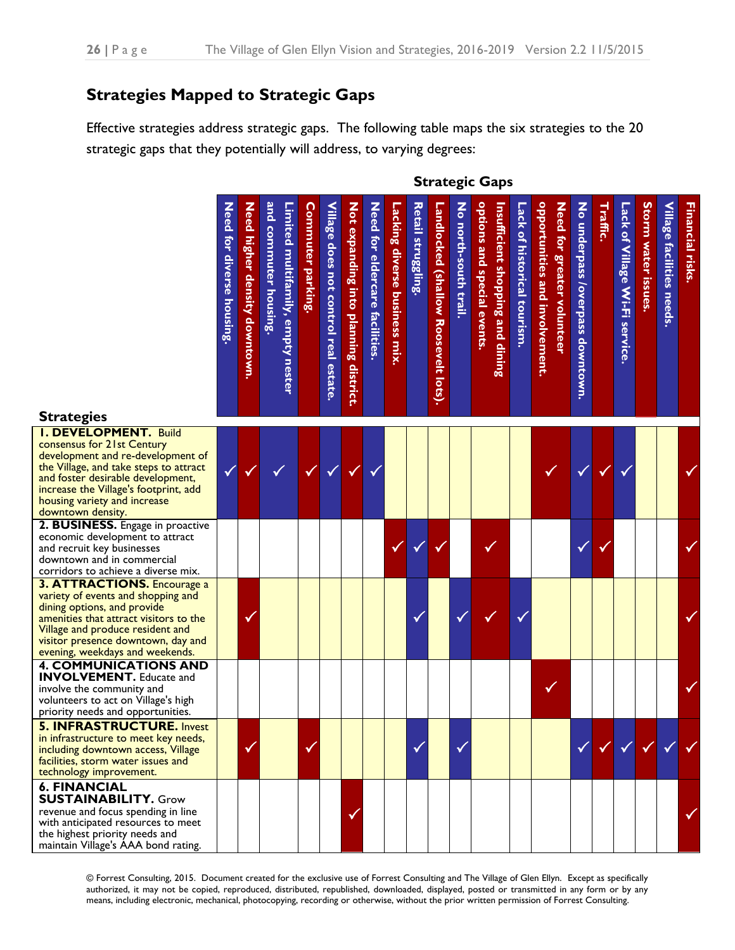### <span id="page-25-0"></span>**Strategies Mapped to Strategic Gaps**

Effective strategies address strategic gaps. The following table maps the six strategies to the 20 strategic gaps that they potentially will address, to varying degrees:

 **Strategic Gaps**

| development and re-development of<br>the Village, and take steps to attract<br>2. BUSINESS. Engage in proactive<br>3. ATTRACTIONS. Encourage a | <b>Need for diverse housing</b> | Need higher density downtown<br>✓ | and commuter housing<br>Limited multifamily, empty nester | <b>Commuter parking</b><br>$\checkmark$ | Village does not control real estate.<br>$\checkmark$ | Not expanding into planning district.<br>$\checkmark$ | Need for eldercare facilities<br>✓ | Lacking diverse business mix. | Retail struggling.<br>$\checkmark$ | Landlocked (shallow Roosevelt lots).<br>✔ | No north-south trail | options and special events<br><b>Insufficient shopping and dining</b> | Lack of historical tourism | opportunities and involvement.<br>$\checkmark$ | Need for greater volunteer | No underpass loverpass downtown.<br>√<br>√ | <b>Traffic.</b><br>√ | Lack of Village Wi-Fi service | Storm water issues. | Village facilities needs | Financial risks. |
|------------------------------------------------------------------------------------------------------------------------------------------------|---------------------------------|-----------------------------------|-----------------------------------------------------------|-----------------------------------------|-------------------------------------------------------|-------------------------------------------------------|------------------------------------|-------------------------------|------------------------------------|-------------------------------------------|----------------------|-----------------------------------------------------------------------|----------------------------|------------------------------------------------|----------------------------|--------------------------------------------|----------------------|-------------------------------|---------------------|--------------------------|------------------|
| ✓                                                                                                                                              |                                 |                                   |                                                           |                                         |                                                       |                                                       |                                    |                               |                                    |                                           | ✓                    |                                                                       | $\sqrt{}$                  |                                                |                            |                                            |                      |                               |                     |                          |                  |
|                                                                                                                                                |                                 |                                   |                                                           |                                         |                                                       |                                                       |                                    |                               |                                    |                                           |                      |                                                                       |                            |                                                |                            |                                            |                      |                               |                     |                          |                  |
| ✓                                                                                                                                              |                                 |                                   |                                                           |                                         |                                                       |                                                       |                                    |                               |                                    |                                           |                      |                                                                       |                            |                                                |                            |                                            |                      |                               |                     |                          |                  |
|                                                                                                                                                |                                 |                                   |                                                           |                                         |                                                       | √                                                     |                                    |                               |                                    |                                           |                      |                                                                       |                            |                                                |                            |                                            |                      |                               |                     |                          |                  |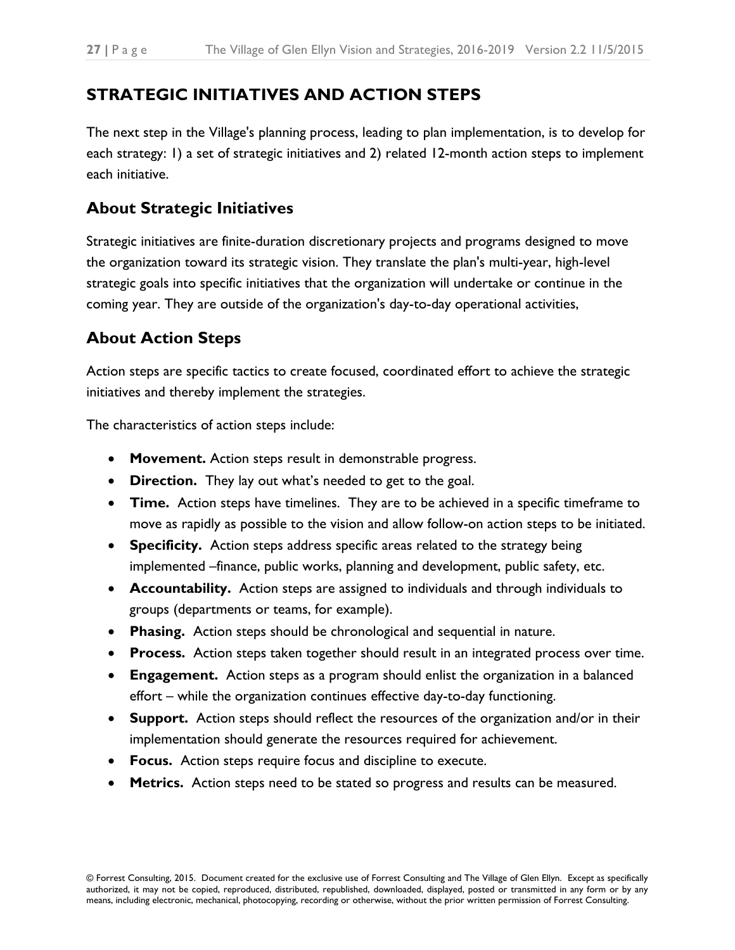# <span id="page-26-0"></span>**STRATEGIC INITIATIVES AND ACTION STEPS**

The next step in the Village's planning process, leading to plan implementation, is to develop for each strategy: 1) a set of strategic initiatives and 2) related 12-month action steps to implement each initiative.

#### <span id="page-26-1"></span>**About Strategic Initiatives**

Strategic initiatives are finite-duration discretionary projects and programs designed to move the organization toward its strategic vision. They translate the plan's multi-year, high-level strategic goals into specific initiatives that the organization will undertake or continue in the coming year. They are outside of the organization's day-to-day operational activities,

#### <span id="page-26-2"></span>**About Action Steps**

Action steps are specific tactics to create focused, coordinated effort to achieve the strategic initiatives and thereby implement the strategies.

The characteristics of action steps include:

- **Movement.** Action steps result in demonstrable progress.
- **Direction.** They lay out what's needed to get to the goal.
- **Time.** Action steps have timelines. They are to be achieved in a specific timeframe to move as rapidly as possible to the vision and allow follow-on action steps to be initiated.
- **Specificity.** Action steps address specific areas related to the strategy being implemented –finance, public works, planning and development, public safety, etc.
- **Accountability.** Action steps are assigned to individuals and through individuals to groups (departments or teams, for example).
- **Phasing.** Action steps should be chronological and sequential in nature.
- **Process.** Action steps taken together should result in an integrated process over time.
- **Engagement.** Action steps as a program should enlist the organization in a balanced effort – while the organization continues effective day-to-day functioning.
- **Support.** Action steps should reflect the resources of the organization and/or in their implementation should generate the resources required for achievement.
- **Focus.** Action steps require focus and discipline to execute.
- **Metrics.** Action steps need to be stated so progress and results can be measured.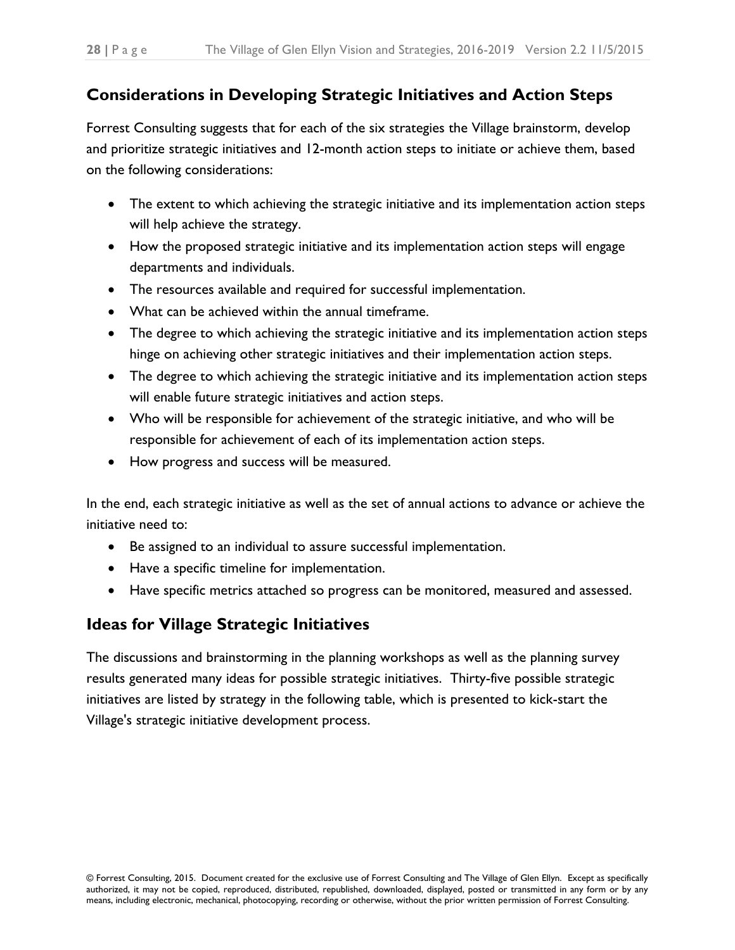#### <span id="page-27-0"></span>**Considerations in Developing Strategic Initiatives and Action Steps**

Forrest Consulting suggests that for each of the six strategies the Village brainstorm, develop and prioritize strategic initiatives and 12-month action steps to initiate or achieve them, based on the following considerations:

- The extent to which achieving the strategic initiative and its implementation action steps will help achieve the strategy.
- How the proposed strategic initiative and its implementation action steps will engage departments and individuals.
- The resources available and required for successful implementation.
- What can be achieved within the annual timeframe.
- The degree to which achieving the strategic initiative and its implementation action steps hinge on achieving other strategic initiatives and their implementation action steps.
- The degree to which achieving the strategic initiative and its implementation action steps will enable future strategic initiatives and action steps.
- Who will be responsible for achievement of the strategic initiative, and who will be responsible for achievement of each of its implementation action steps.
- How progress and success will be measured.

In the end, each strategic initiative as well as the set of annual actions to advance or achieve the initiative need to:

- Be assigned to an individual to assure successful implementation.
- Have a specific timeline for implementation.
- Have specific metrics attached so progress can be monitored, measured and assessed.

#### <span id="page-27-1"></span>**Ideas for Village Strategic Initiatives**

The discussions and brainstorming in the planning workshops as well as the planning survey results generated many ideas for possible strategic initiatives. Thirty-five possible strategic initiatives are listed by strategy in the following table, which is presented to kick-start the Village's strategic initiative development process.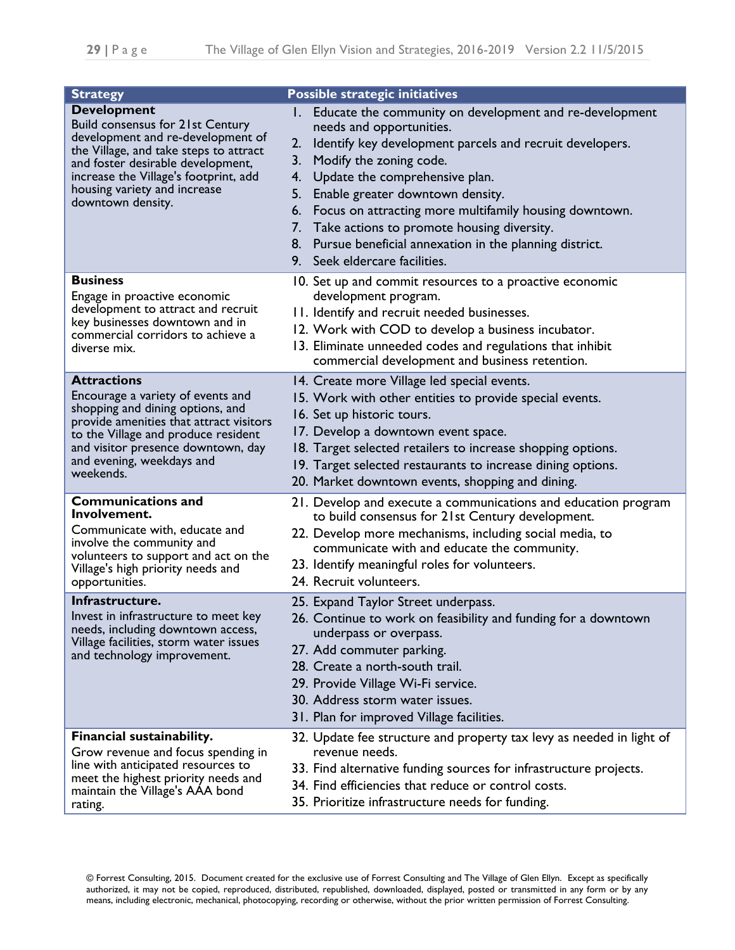| <b>Strategy</b>                                                                                                                                                                                                                                                                 | <b>Possible strategic initiatives</b>                                                                                                                                                                                                                                                                                                                                                                                                                                                         |
|---------------------------------------------------------------------------------------------------------------------------------------------------------------------------------------------------------------------------------------------------------------------------------|-----------------------------------------------------------------------------------------------------------------------------------------------------------------------------------------------------------------------------------------------------------------------------------------------------------------------------------------------------------------------------------------------------------------------------------------------------------------------------------------------|
| <b>Development</b><br><b>Build consensus for 21st Century</b><br>development and re-development of<br>the Village, and take steps to attract<br>and foster desirable development,<br>increase the Village's footprint, add<br>housing variety and increase<br>downtown density. | Educate the community on development and re-development<br>needs and opportunities.<br>Identify key development parcels and recruit developers.<br>2.<br>3.<br>Modify the zoning code.<br>Update the comprehensive plan.<br>4.<br>Enable greater downtown density.<br>5.<br>Focus on attracting more multifamily housing downtown.<br>6.<br>Take actions to promote housing diversity.<br>7.<br>Pursue beneficial annexation in the planning district.<br>8.<br>9. Seek eldercare facilities. |
| <b>Business</b><br>Engage in proactive economic<br>development to attract and recruit<br>key businesses downtown and in<br>commercial corridors to achieve a<br>diverse mix.                                                                                                    | 10. Set up and commit resources to a proactive economic<br>development program.<br>11. Identify and recruit needed businesses.<br>12. Work with COD to develop a business incubator.<br>13. Eliminate unneeded codes and regulations that inhibit<br>commercial development and business retention.                                                                                                                                                                                           |
| <b>Attractions</b><br>Encourage a variety of events and<br>shopping and dining options, and<br>provide amenities that attract visitors<br>to the Village and produce resident<br>and visitor presence downtown, day<br>and evening, weekdays and<br>weekends.                   | 14. Create more Village led special events.<br>15. Work with other entities to provide special events.<br>16. Set up historic tours.<br>17. Develop a downtown event space.<br>18. Target selected retailers to increase shopping options.<br>19. Target selected restaurants to increase dining options.<br>20. Market downtown events, shopping and dining.                                                                                                                                 |
| <b>Communications and</b><br>Involvement.<br>Communicate with, educate and<br>involve the community and<br>volunteers to support and act on the<br>Village's high priority needs and<br>opportunities.                                                                          | 21. Develop and execute a communications and education program<br>to build consensus for 21st Century development.<br>22. Develop more mechanisms, including social media, to<br>communicate with and educate the community.<br>23. Identify meaningful roles for volunteers.<br>24. Recruit volunteers.                                                                                                                                                                                      |
| Infrastructure.<br>Invest in infrastructure to meet key<br>needs, including downtown access,<br>Village facilities, storm water issues<br>and technology improvement.                                                                                                           | 25. Expand Taylor Street underpass.<br>26. Continue to work on feasibility and funding for a downtown<br>underpass or overpass.<br>27. Add commuter parking.<br>28. Create a north-south trail.<br>29. Provide Village Wi-Fi service.<br>30. Address storm water issues.<br>31. Plan for improved Village facilities.                                                                                                                                                                         |
| Financial sustainability.<br>Grow revenue and focus spending in<br>line with anticipated resources to<br>meet the highest priority needs and<br>maintain the Village's AAA bond<br>rating.                                                                                      | 32. Update fee structure and property tax levy as needed in light of<br>revenue needs.<br>33. Find alternative funding sources for infrastructure projects.<br>34. Find efficiencies that reduce or control costs.<br>35. Prioritize infrastructure needs for funding.                                                                                                                                                                                                                        |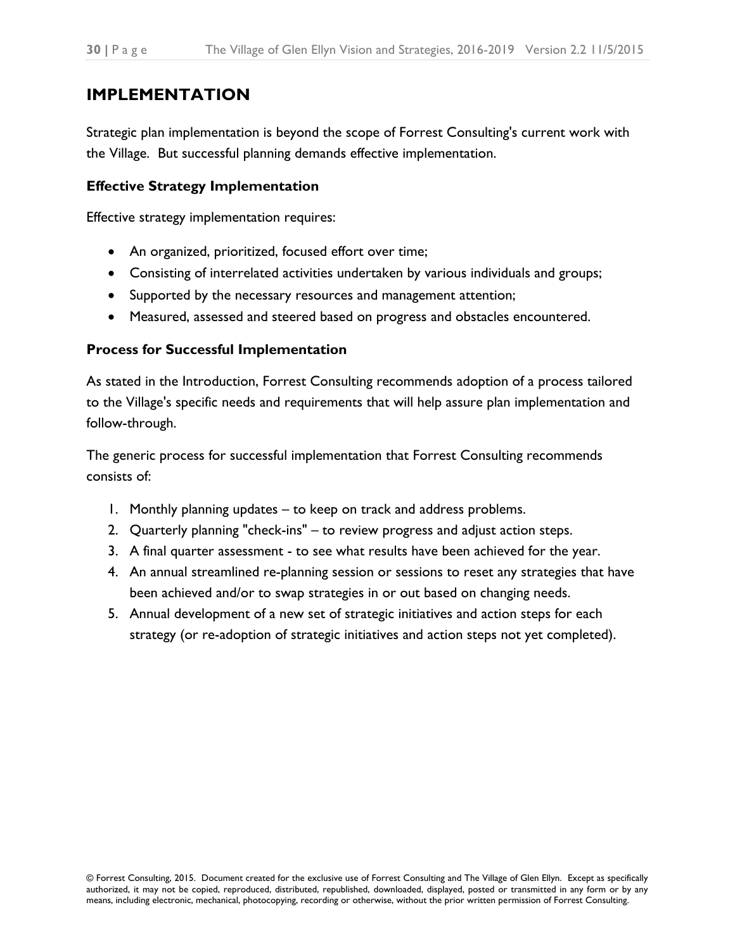#### <span id="page-29-0"></span>**IMPLEMENTATION**

Strategic plan implementation is beyond the scope of Forrest Consulting's current work with the Village. But successful planning demands effective implementation.

#### <span id="page-29-1"></span>**Effective Strategy Implementation**

Effective strategy implementation requires:

- An organized, prioritized, focused effort over time;
- Consisting of interrelated activities undertaken by various individuals and groups;
- Supported by the necessary resources and management attention;
- Measured, assessed and steered based on progress and obstacles encountered.

#### <span id="page-29-2"></span>**Process for Successful Implementation**

As stated in the Introduction, Forrest Consulting recommends adoption of a process tailored to the Village's specific needs and requirements that will help assure plan implementation and follow-through.

The generic process for successful implementation that Forrest Consulting recommends consists of:

- 1. Monthly planning updates to keep on track and address problems.
- 2. Quarterly planning "check-ins" to review progress and adjust action steps.
- 3. A final quarter assessment to see what results have been achieved for the year.
- 4. An annual streamlined re-planning session or sessions to reset any strategies that have been achieved and/or to swap strategies in or out based on changing needs.
- 5. Annual development of a new set of strategic initiatives and action steps for each strategy (or re-adoption of strategic initiatives and action steps not yet completed).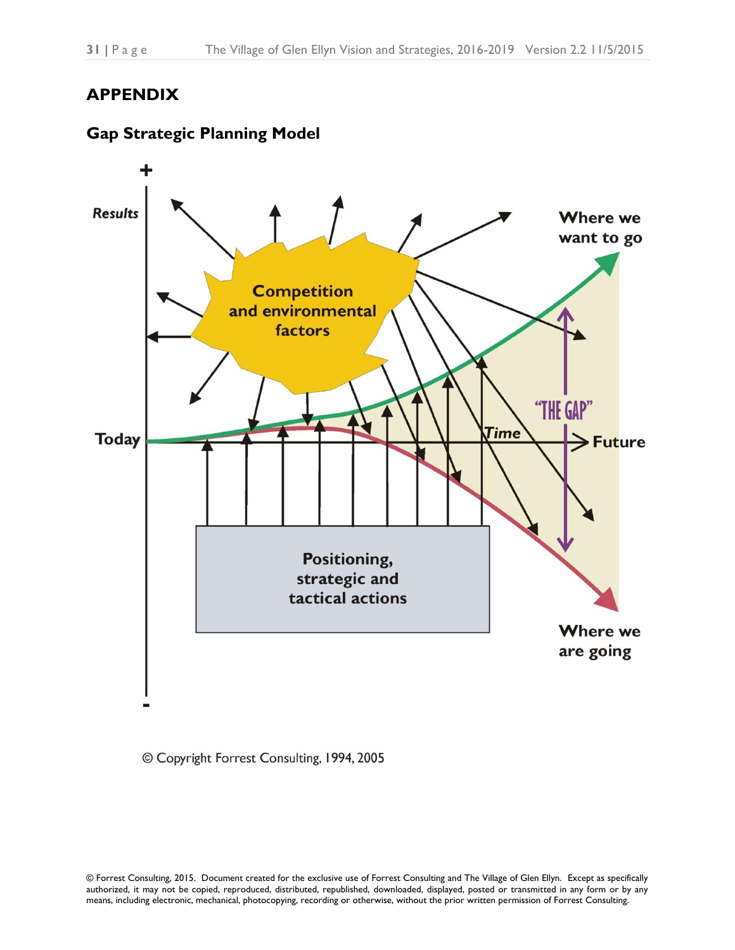#### <span id="page-30-0"></span>**APPENDIX**

#### **Gap Strategic Planning Model**



#### © Copyright Forrest Consulting, 1994, 2005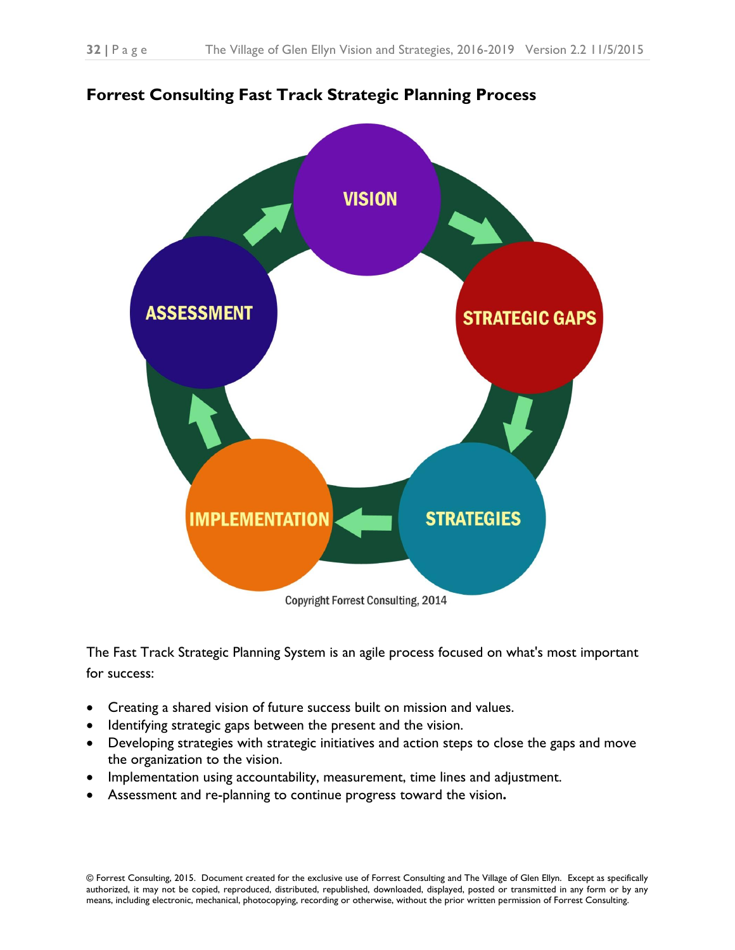

#### **Forrest Consulting Fast Track Strategic Planning Process**

The Fast Track Strategic Planning System is an agile process focused on what's most important for success:

- Creating a shared vision of future success built on mission and values.
- Identifying strategic gaps between the present and the vision.
- Developing strategies with strategic initiatives and action steps to close the gaps and move the organization to the vision.
- Implementation using accountability, measurement, time lines and adjustment.
- Assessment and re-planning to continue progress toward the vision**.**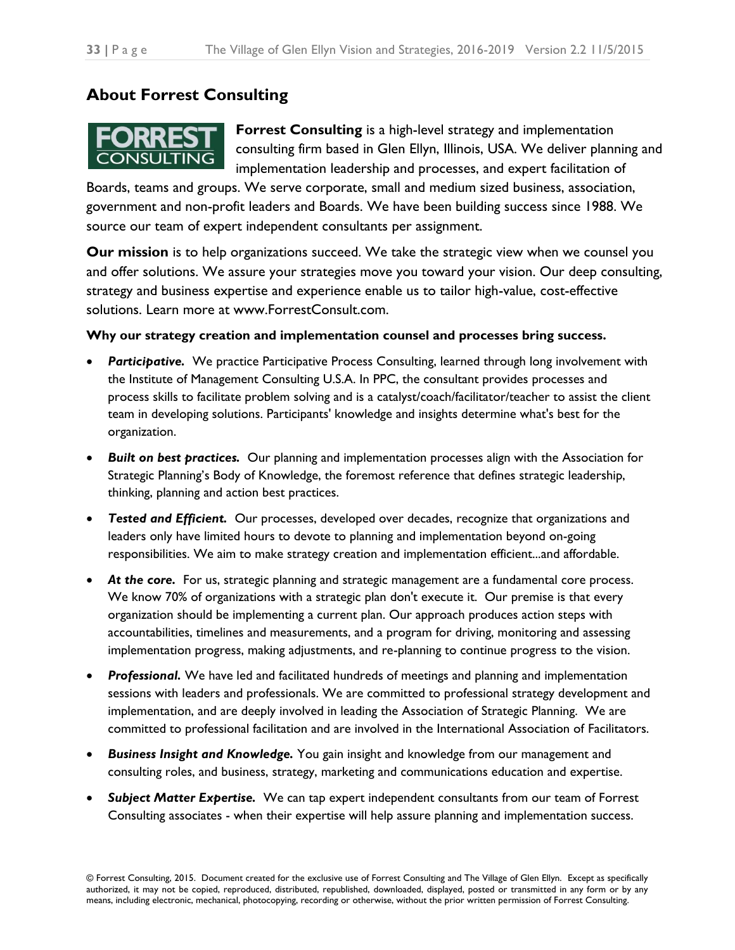#### **About Forrest Consulting**

# **CONSULTING**

**Forrest Consulting** is a high-level strategy and implementation consulting firm based in Glen Ellyn, Illinois, USA. We deliver planning and implementation leadership and processes, and expert facilitation of

Boards, teams and groups. We serve corporate, small and medium sized business, association, government and non-profit leaders and Boards. We have been building success since 1988. We source our team of expert independent consultants per assignment.

**Our mission** is to help organizations succeed. We take the strategic view when we counsel you and offer solutions. We assure your strategies move you toward your vision. Our deep consulting, strategy and business expertise and experience enable us to tailor high-value, cost-effective solutions. Learn more at www.ForrestConsult.com.

#### **Why our strategy creation and implementation counsel and processes bring success.**

- *Participative.* We practice Participative Process Consulting, learned through long involvement with the Institute of Management Consulting U.S.A. In PPC, the consultant provides processes and process skills to facilitate problem solving and is a catalyst/coach/facilitator/teacher to assist the client team in developing solutions. Participants' knowledge and insights determine what's best for the organization.
- *Built on best practices.* Our planning and implementation processes align with the Association for Strategic Planning's Body of Knowledge, the foremost reference that defines strategic leadership, thinking, planning and action best practices.
- *Tested and Efficient.* Our processes, developed over decades, recognize that organizations and leaders only have limited hours to devote to planning and implementation beyond on-going responsibilities. We aim to make strategy creation and implementation efficient...and affordable.
- *At the core.* For us, strategic planning and strategic management are a fundamental core process. We know 70% of organizations with a strategic plan don't execute it. Our premise is that every organization should be implementing a current plan. Our approach produces action steps with accountabilities, timelines and measurements, and a program for driving, monitoring and assessing implementation progress, making adjustments, and re-planning to continue progress to the vision.
- *Professional.* We have led and facilitated hundreds of meetings and planning and implementation sessions with leaders and professionals. We are committed to professional strategy development and implementation, and are deeply involved in leading the Association of Strategic Planning. We are committed to professional facilitation and are involved in the International Association of Facilitators.
- *Business Insight and Knowledge.* You gain insight and knowledge from our management and consulting roles, and business, strategy, marketing and communications education and expertise.
- *Subject Matter Expertise.* We can tap expert independent consultants from our team of Forrest Consulting associates - when their expertise will help assure planning and implementation success.